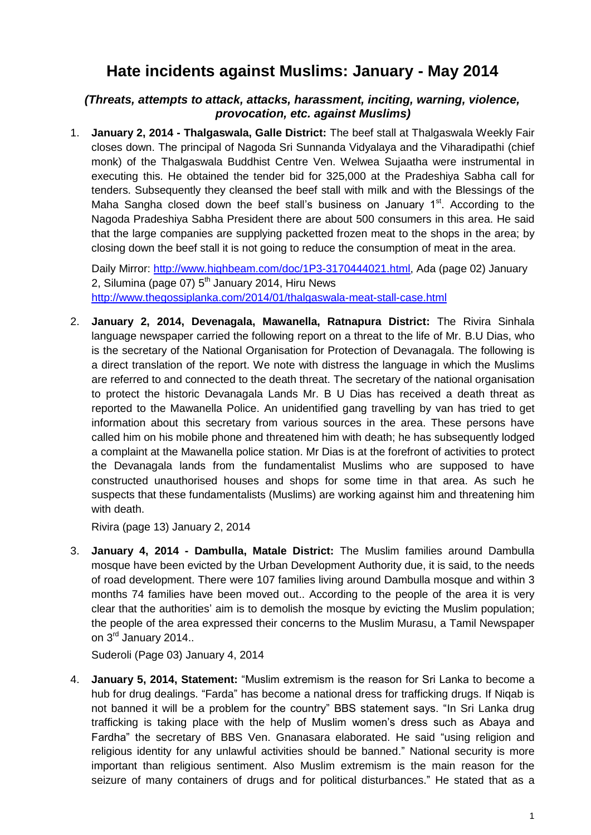## **Hate incidents against Muslims: January - May 2014**

## *(Threats, attempts to attack, attacks, harassment, inciting, warning, violence, provocation, etc. against Muslims)*

1. **January 2, 2014 - Thalgaswala, Galle District:** The beef stall at Thalgaswala Weekly Fair closes down. The principal of Nagoda Sri Sunnanda Vidyalaya and the Viharadipathi (chief monk) of the Thalgaswala Buddhist Centre Ven. Welwea Sujaatha were instrumental in executing this. He obtained the tender bid for 325,000 at the Pradeshiya Sabha call for tenders. Subsequently they cleansed the beef stall with milk and with the Blessings of the Maha Sangha closed down the beef stall's business on January  $1<sup>st</sup>$ . According to the Nagoda Pradeshiya Sabha President there are about 500 consumers in this area. He said that the large companies are supplying packetted frozen meat to the shops in the area; by closing down the beef stall it is not going to reduce the consumption of meat in the area.

Daily Mirror: [http://www.highbeam.com/doc/1P3-3170444021.html,](http://www.highbeam.com/doc/1P3-3170444021.html) Ada (page 02) January 2, Silumina (page  $07$ )  $5<sup>th</sup>$  January 2014, Hiru News <http://www.thegossiplanka.com/2014/01/thalgaswala-meat-stall-case.html>

2. **January 2, 2014, Devenagala, Mawanella, Ratnapura District:** The Rivira Sinhala language newspaper carried the following report on a threat to the life of Mr. B.U Dias, who is the secretary of the National Organisation for Protection of Devanagala. The following is a direct translation of the report. We note with distress the language in which the Muslims are referred to and connected to the death threat. The secretary of the national organisation to protect the historic Devanagala Lands Mr. B U Dias has received a death threat as reported to the Mawanella Police. An unidentified gang travelling by van has tried to get information about this secretary from various sources in the area. These persons have called him on his mobile phone and threatened him with death; he has subsequently lodged a complaint at the Mawanella police station. Mr Dias is at the forefront of activities to protect the Devanagala lands from the fundamentalist Muslims who are supposed to have constructed unauthorised houses and shops for some time in that area. As such he suspects that these fundamentalists (Muslims) are working against him and threatening him with death.

Rivira (page 13) January 2, 2014

3. **January 4, 2014 - Dambulla, Matale District:** The Muslim families around Dambulla mosque have been evicted by the Urban Development Authority due, it is said, to the needs of road development. There were 107 families living around Dambulla mosque and within 3 months 74 families have been moved out.. According to the people of the area it is very clear that the authorities" aim is to demolish the mosque by evicting the Muslim population; the people of the area expressed their concerns to the Muslim Murasu, a Tamil Newspaper on 3<sup>rd</sup> January 2014..

Suderoli (Page 03) January 4, 2014

4. **January 5, 2014, Statement:** "Muslim extremism is the reason for Sri Lanka to become a hub for drug dealings. "Farda" has become a national dress for trafficking drugs. If Niqab is not banned it will be a problem for the country" BBS statement says. "In Sri Lanka drug trafficking is taking place with the help of Muslim women"s dress such as Abaya and Fardha" the secretary of BBS Ven. Gnanasara elaborated. He said "using religion and religious identity for any unlawful activities should be banned." National security is more important than religious sentiment. Also Muslim extremism is the main reason for the seizure of many containers of drugs and for political disturbances." He stated that as a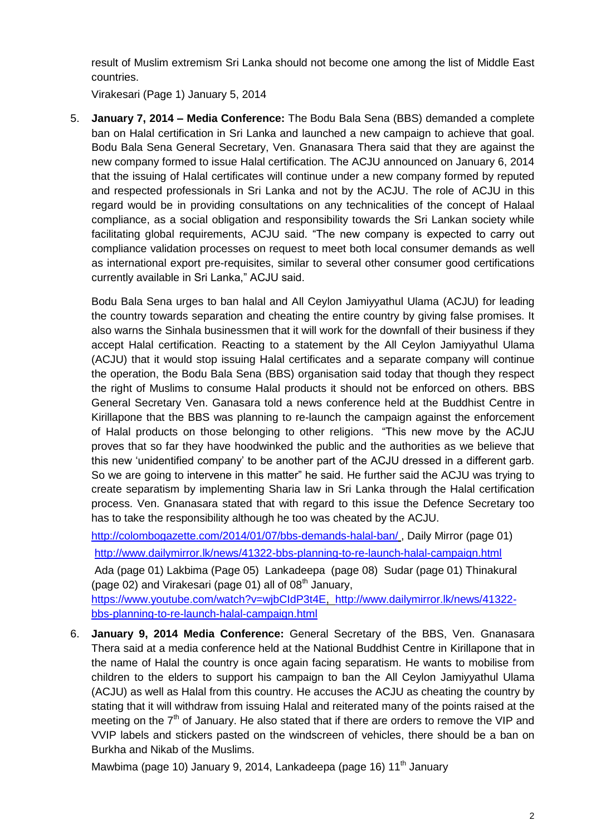result of Muslim extremism Sri Lanka should not become one among the list of Middle East countries.

Virakesari (Page 1) January 5, 2014

5. **January 7, 2014 – Media Conference:** The Bodu Bala Sena (BBS) demanded a complete ban on Halal certification in Sri Lanka and launched a new campaign to achieve that goal. Bodu Bala Sena General Secretary, Ven. Gnanasara Thera said that they are against the new company formed to issue Halal certification. The ACJU announced on January 6, 2014 that the issuing of Halal certificates will continue under a new company formed by reputed and respected professionals in Sri Lanka and not by the ACJU. The role of ACJU in this regard would be in providing consultations on any technicalities of the concept of Halaal compliance, as a social obligation and responsibility towards the Sri Lankan society while facilitating global requirements, ACJU said. "The new company is expected to carry out compliance validation processes on request to meet both local consumer demands as well as international export pre-requisites, similar to several other consumer good certifications currently available in Sri Lanka," ACJU said.

Bodu Bala Sena urges to ban halal and All Ceylon Jamiyyathul Ulama (ACJU) for leading the country towards separation and cheating the entire country by giving false promises. It also warns the Sinhala businessmen that it will work for the downfall of their business if they accept Halal certification. Reacting to a statement by the All Ceylon Jamiyyathul Ulama (ACJU) that it would stop issuing Halal certificates and a separate company will continue the operation, the Bodu Bala Sena (BBS) organisation said today that though they respect the right of Muslims to consume Halal products it should not be enforced on others. BBS General Secretary Ven. Ganasara told a news conference held at the Buddhist Centre in Kirillapone that the BBS was planning to re-launch the campaign against the enforcement of Halal products on those belonging to other religions. "This new move by the ACJU proves that so far they have hoodwinked the public and the authorities as we believe that this new "unidentified company" to be another part of the ACJU dressed in a different garb. So we are going to intervene in this matter" he said. He further said the ACJU was trying to create separatism by implementing Sharia law in Sri Lanka through the Halal certification process. Ven. Gnanasara stated that with regard to this issue the Defence Secretary too has to take the responsibility although he too was cheated by the ACJU.

<http://colombogazette.com/2014/01/07/bbs-demands-halal-ban/> , Daily Mirror (page 01)

<http://www.dailymirror.lk/news/41322-bbs-planning-to-re-launch-halal-campaign.html>

Ada (page 01) Lakbima (Page 05) Lankadeepa (page 08) Sudar (page 01) Thinakural (page 02) and Virakesari (page 01) all of  $08<sup>th</sup>$  January, [https://www.youtube.com/watch?v=wjbCIdP3t4E,](https://www.youtube.com/watch?v=wjbCIdP3t4E) [http://www.dailymirror.lk/news/41322-](http://www.dailymirror.lk/news/41322-bbs-planning-to-re-launch-halal-campaign.html)

[bbs-planning-to-re-launch-halal-campaign.html](http://www.dailymirror.lk/news/41322-bbs-planning-to-re-launch-halal-campaign.html)

6. **January 9, 2014 Media Conference:** General Secretary of the BBS, Ven. Gnanasara Thera said at a media conference held at the National Buddhist Centre in Kirillapone that in the name of Halal the country is once again facing separatism. He wants to mobilise from children to the elders to support his campaign to ban the All Ceylon Jamiyyathul Ulama (ACJU) as well as Halal from this country. He accuses the ACJU as cheating the country by stating that it will withdraw from issuing Halal and reiterated many of the points raised at the meeting on the  $7<sup>th</sup>$  of January. He also stated that if there are orders to remove the VIP and VVIP labels and stickers pasted on the windscreen of vehicles, there should be a ban on Burkha and Nikab of the Muslims.

Mawbima (page 10) January 9, 2014, Lankadeepa (page 16) 11<sup>th</sup> January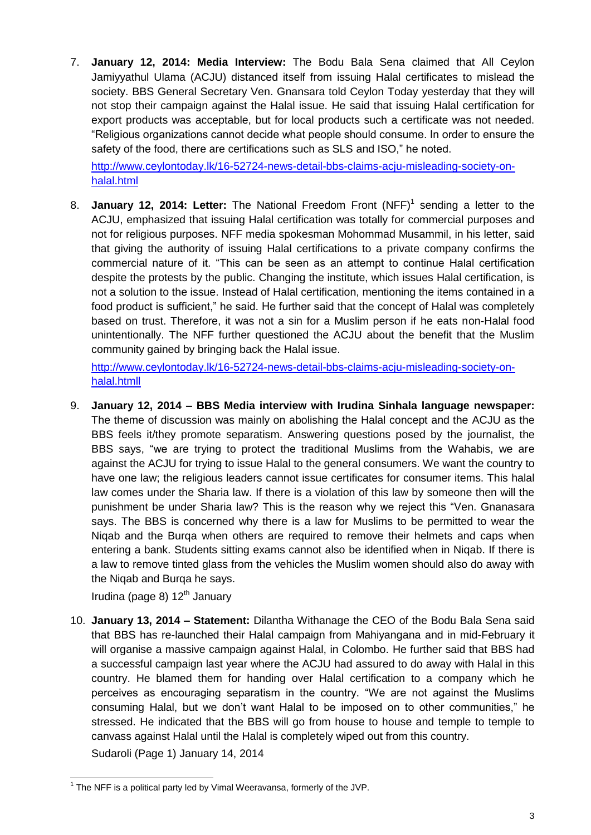7. **January 12, 2014: Media Interview:** The Bodu Bala Sena claimed that All Ceylon Jamiyyathul Ulama (ACJU) distanced itself from issuing Halal certificates to mislead the society. BBS General Secretary Ven. Gnansara told Ceylon Today yesterday that they will not stop their campaign against the Halal issue. He said that issuing Halal certification for export products was acceptable, but for local products such a certificate was not needed. "Religious organizations cannot decide what people should consume. In order to ensure the safety of the food, there are certifications such as SLS and ISO," he noted.

[http://www.ceylontoday.lk/16-52724-news-detail-bbs-claims-acju-misleading-society-on](http://www.ceylontoday.lk/16-52724-news-detail-bbs-claims-acju-misleading-society-on-halal.html)[halal.html](http://www.ceylontoday.lk/16-52724-news-detail-bbs-claims-acju-misleading-society-on-halal.html)

8. **January 12, 2014: Letter:** The National Freedom Front (NFF)<sup>1</sup> sending a letter to the ACJU, emphasized that issuing Halal certification was totally for commercial purposes and not for religious purposes. NFF media spokesman Mohommad Musammil, in his letter, said that giving the authority of issuing Halal certifications to a private company confirms the commercial nature of it. "This can be seen as an attempt to continue Halal certification despite the protests by the public. Changing the institute, which issues Halal certification, is not a solution to the issue. Instead of Halal certification, mentioning the items contained in a food product is sufficient," he said. He further said that the concept of Halal was completely based on trust. Therefore, it was not a sin for a Muslim person if he eats non-Halal food unintentionally. The NFF further questioned the ACJU about the benefit that the Muslim community gained by bringing back the Halal issue.

[http://www.ceylontoday.lk/16-52724-news-detail-bbs-claims-acju-misleading-society-on](http://www.ceylontoday.lk/16-52724-news-detail-bbs-claims-acju-misleading-society-on-halal.htmll)[halal.htmll](http://www.ceylontoday.lk/16-52724-news-detail-bbs-claims-acju-misleading-society-on-halal.htmll)

9. **January 12, 2014 – BBS Media interview with Irudina Sinhala language newspaper:**  The theme of discussion was mainly on abolishing the Halal concept and the ACJU as the BBS feels it/they promote separatism. Answering questions posed by the journalist, the BBS says, "we are trying to protect the traditional Muslims from the Wahabis, we are against the ACJU for trying to issue Halal to the general consumers. We want the country to have one law; the religious leaders cannot issue certificates for consumer items. This halal law comes under the Sharia law. If there is a violation of this law by someone then will the punishment be under Sharia law? This is the reason why we reject this "Ven. Gnanasara says. The BBS is concerned why there is a law for Muslims to be permitted to wear the Niqab and the Burqa when others are required to remove their helmets and caps when entering a bank. Students sitting exams cannot also be identified when in Niqab. If there is a law to remove tinted glass from the vehicles the Muslim women should also do away with the Niqab and Burqa he says.

Irudina (page 8)  $12<sup>th</sup>$  January

10. **January 13, 2014 – Statement:** Dilantha Withanage the CEO of the Bodu Bala Sena said that BBS has re-launched their Halal campaign from Mahiyangana and in mid-February it will organise a massive campaign against Halal, in Colombo. He further said that BBS had a successful campaign last year where the ACJU had assured to do away with Halal in this country. He blamed them for handing over Halal certification to a company which he perceives as encouraging separatism in the country. "We are not against the Muslims consuming Halal, but we don"t want Halal to be imposed on to other communities," he stressed. He indicated that the BBS will go from house to house and temple to temple to canvass against Halal until the Halal is completely wiped out from this country.

Sudaroli (Page 1) January 14, 2014

The NFF is a political party led by Vimal Weeravansa, formerly of the JVP.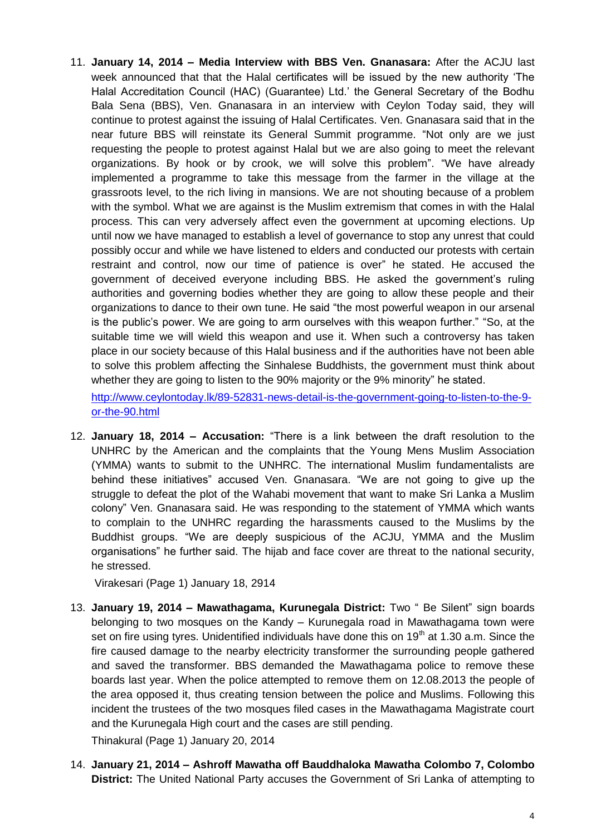11. **January 14, 2014 – Media Interview with BBS Ven. Gnanasara:** After the ACJU last week announced that that the Halal certificates will be issued by the new authority "The Halal Accreditation Council (HAC) (Guarantee) Ltd." the General Secretary of the Bodhu Bala Sena (BBS), Ven. Gnanasara in an interview with Ceylon Today said, they will continue to protest against the issuing of Halal Certificates. Ven. Gnanasara said that in the near future BBS will reinstate its General Summit programme. "Not only are we just requesting the people to protest against Halal but we are also going to meet the relevant organizations. By hook or by crook, we will solve this problem". "We have already implemented a programme to take this message from the farmer in the village at the grassroots level, to the rich living in mansions. We are not shouting because of a problem with the symbol. What we are against is the Muslim extremism that comes in with the Halal process. This can very adversely affect even the government at upcoming elections. Up until now we have managed to establish a level of governance to stop any unrest that could possibly occur and while we have listened to elders and conducted our protests with certain restraint and control, now our time of patience is over" he stated. He accused the government of deceived everyone including BBS. He asked the government"s ruling authorities and governing bodies whether they are going to allow these people and their organizations to dance to their own tune. He said "the most powerful weapon in our arsenal is the public"s power. We are going to arm ourselves with this weapon further." "So, at the suitable time we will wield this weapon and use it. When such a controversy has taken place in our society because of this Halal business and if the authorities have not been able to solve this problem affecting the Sinhalese Buddhists, the government must think about whether they are going to listen to the 90% majority or the 9% minority" he stated.

[http://www.ceylontoday.lk/89-52831-news-detail-is-the-government-going-to-listen-to-the-9](http://www.ceylontoday.lk/89-52831-news-detail-is-the-government-going-to-listen-to-the-9-or-the-90.html) [or-the-90.html](http://www.ceylontoday.lk/89-52831-news-detail-is-the-government-going-to-listen-to-the-9-or-the-90.html)

12. **January 18, 2014 – Accusation:** "There is a link between the draft resolution to the UNHRC by the American and the complaints that the Young Mens Muslim Association (YMMA) wants to submit to the UNHRC. The international Muslim fundamentalists are behind these initiatives" accused Ven. Gnanasara. "We are not going to give up the struggle to defeat the plot of the Wahabi movement that want to make Sri Lanka a Muslim colony" Ven. Gnanasara said. He was responding to the statement of YMMA which wants to complain to the UNHRC regarding the harassments caused to the Muslims by the Buddhist groups. "We are deeply suspicious of the ACJU, YMMA and the Muslim organisations" he further said. The hijab and face cover are threat to the national security, he stressed.

Virakesari (Page 1) January 18, 2914

13. **January 19, 2014 – Mawathagama, Kurunegala District:** Two " Be Silent" sign boards belonging to two mosques on the Kandy – Kurunegala road in Mawathagama town were set on fire using tyres. Unidentified individuals have done this on  $19<sup>th</sup>$  at 1.30 a.m. Since the fire caused damage to the nearby electricity transformer the surrounding people gathered and saved the transformer. BBS demanded the Mawathagama police to remove these boards last year. When the police attempted to remove them on 12.08.2013 the people of the area opposed it, thus creating tension between the police and Muslims. Following this incident the trustees of the two mosques filed cases in the Mawathagama Magistrate court and the Kurunegala High court and the cases are still pending.

Thinakural (Page 1) January 20, 2014

14. **January 21, 2014 – Ashroff Mawatha off Bauddhaloka Mawatha Colombo 7, Colombo District:** The United National Party accuses the Government of Sri Lanka of attempting to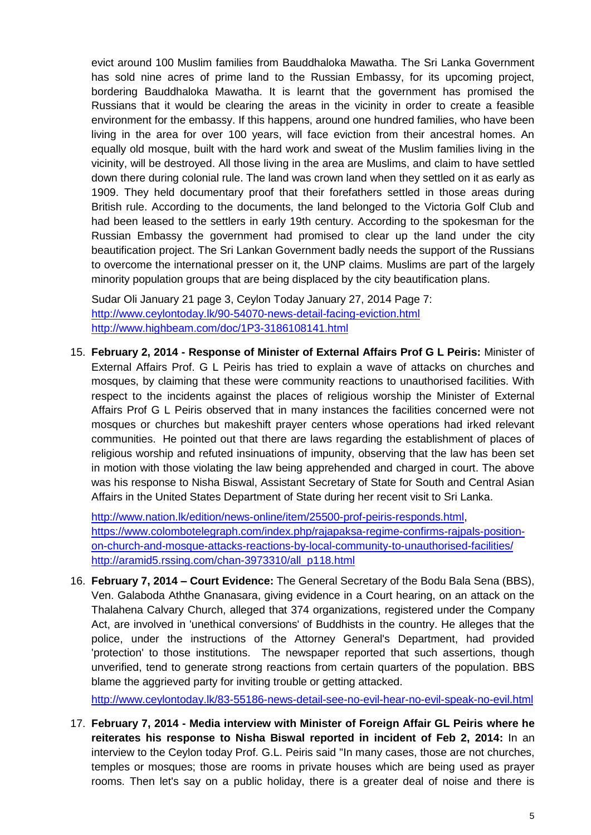evict around 100 Muslim families from Bauddhaloka Mawatha. The Sri Lanka Government has sold nine acres of prime land to the Russian Embassy, for its upcoming project, bordering Bauddhaloka Mawatha. It is learnt that the government has promised the Russians that it would be clearing the areas in the vicinity in order to create a feasible environment for the embassy. If this happens, around one hundred families, who have been living in the area for over 100 years, will face eviction from their ancestral homes. An equally old mosque, built with the hard work and sweat of the Muslim families living in the vicinity, will be destroyed. All those living in the area are Muslims, and claim to have settled down there during colonial rule. The land was crown land when they settled on it as early as 1909. They held documentary proof that their forefathers settled in those areas during British rule. According to the documents, the land belonged to the Victoria Golf Club and had been leased to the settlers in early 19th century. According to the spokesman for the Russian Embassy the government had promised to clear up the land under the city beautification project. The Sri Lankan Government badly needs the support of the Russians to overcome the international presser on it, the UNP claims. Muslims are part of the largely minority population groups that are being displaced by the city beautification plans.

Sudar Oli January 21 page 3, Ceylon Today January 27, 2014 Page 7: <http://www.ceylontoday.lk/90-54070-news-detail-facing-eviction.html> <http://www.highbeam.com/doc/1P3-3186108141.html>

15. **February 2, 2014 - Response of Minister of External Affairs Prof G L Peiris:** Minister of External Affairs Prof. G L Peiris has tried to explain a wave of attacks on churches and mosques, by claiming that these were community reactions to unauthorised facilities. With respect to the incidents against the places of religious worship the Minister of External Affairs Prof G L Peiris observed that in many instances the facilities concerned were not mosques or churches but makeshift prayer centers whose operations had irked relevant communities. He pointed out that there are laws regarding the establishment of places of religious worship and refuted insinuations of impunity, observing that the law has been set in motion with those violating the law being apprehended and charged in court. The above was his response to Nisha Biswal, Assistant Secretary of State for South and Central Asian Affairs in the United States Department of State during her recent visit to Sri Lanka.

[http://www.nation.lk/edition/news-online/item/25500-prof-peiris-responds.html,](http://www.nation.lk/edition/news-online/item/25500-prof-peiris-responds.html) [https://www.colombotelegraph.com/index.php/rajapaksa-regime-confirms-rajpals-position](https://www.colombotelegraph.com/index.php/rajapaksa-regime-confirms-rajpals-position-on-church-and-mosque-attacks-reactions-by-local-community-to-unauthorised-facilities/)[on-church-and-mosque-attacks-reactions-by-local-community-to-unauthorised-facilities/](https://www.colombotelegraph.com/index.php/rajapaksa-regime-confirms-rajpals-position-on-church-and-mosque-attacks-reactions-by-local-community-to-unauthorised-facilities/) [http://aramid5.rssing.com/chan-3973310/all\\_p118.html](http://aramid5.rssing.com/chan-3973310/all_p118.html)

16. **February 7, 2014 – Court Evidence:** The General Secretary of the Bodu Bala Sena (BBS), Ven. Galaboda Aththe Gnanasara, giving evidence in a Court hearing, on an attack on the Thalahena Calvary Church, alleged that 374 organizations, registered under the Company Act, are involved in 'unethical conversions' of Buddhists in the country. He alleges that the police, under the instructions of the Attorney General's Department, had provided 'protection' to those institutions. The newspaper reported that such assertions, though unverified, tend to generate strong reactions from certain quarters of the population. BBS blame the aggrieved party for inviting trouble or getting attacked.

<http://www.ceylontoday.lk/83-55186-news-detail-see-no-evil-hear-no-evil-speak-no-evil.html>

17. **February 7, 2014 - Media interview with Minister of Foreign Affair GL Peiris where he reiterates his response to Nisha Biswal reported in incident of Feb 2, 2014:** In an interview to the Ceylon today Prof. G.L. Peiris said "In many cases, those are not churches, temples or mosques; those are rooms in private houses which are being used as prayer rooms. Then let's say on a public holiday, there is a greater deal of noise and there is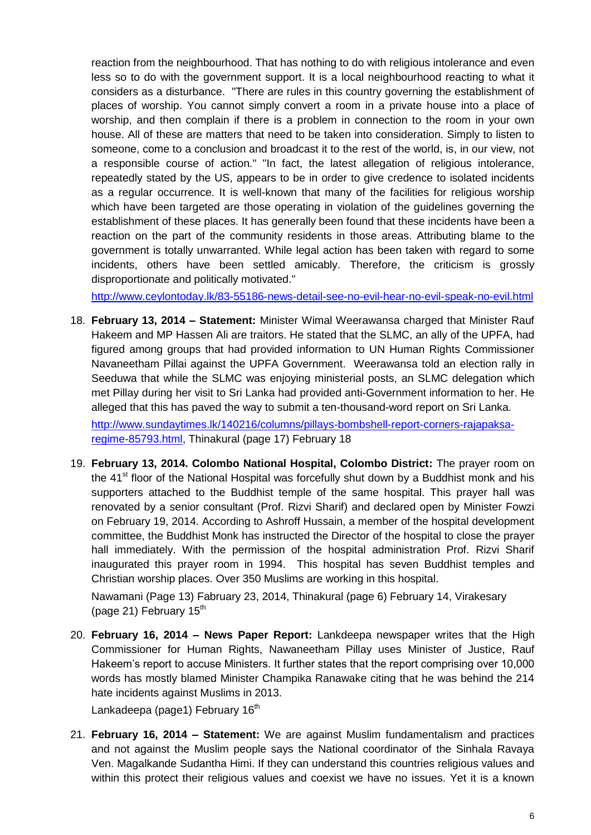reaction from the neighbourhood. That has nothing to do with religious intolerance and even less so to do with the government support. It is a local neighbourhood reacting to what it considers as a disturbance. "There are rules in this country governing the establishment of places of worship. You cannot simply convert a room in a private house into a place of worship, and then complain if there is a problem in connection to the room in your own house. All of these are matters that need to be taken into consideration. Simply to listen to someone, come to a conclusion and broadcast it to the rest of the world, is, in our view, not a responsible course of action." "In fact, the latest allegation of religious intolerance, repeatedly stated by the US, appears to be in order to give credence to isolated incidents as a regular occurrence. It is well-known that many of the facilities for religious worship which have been targeted are those operating in violation of the guidelines governing the establishment of these places. It has generally been found that these incidents have been a reaction on the part of the community residents in those areas. Attributing blame to the government is totally unwarranted. While legal action has been taken with regard to some incidents, others have been settled amicably. Therefore, the criticism is grossly disproportionate and politically motivated."

<http://www.ceylontoday.lk/83-55186-news-detail-see-no-evil-hear-no-evil-speak-no-evil.html>

18. **February 13, 2014 – Statement:** Minister Wimal Weerawansa charged that Minister Rauf Hakeem and MP Hassen Ali are traitors. He stated that the SLMC, an ally of the UPFA, had figured among groups that had provided information to UN Human Rights Commissioner Navaneetham Pillai against the UPFA Government. Weerawansa told an election rally in Seeduwa that while the SLMC was enjoying ministerial posts, an SLMC delegation which met Pillay during her visit to Sri Lanka had provided anti-Government information to her. He alleged that this has paved the way to submit a ten-thousand-word report on Sri Lanka.

[http://www.sundaytimes.lk/140216/columns/pillays-bombshell-report-corners-rajapaksa](http://www.sundaytimes.lk/140216/columns/pillays-bombshell-report-corners-rajapaksa-regime-85793.html)[regime-85793.html,](http://www.sundaytimes.lk/140216/columns/pillays-bombshell-report-corners-rajapaksa-regime-85793.html) Thinakural (page 17) February 18

19. **February 13, 2014. Colombo National Hospital, Colombo District:** The prayer room on the 41<sup>st</sup> floor of the National Hospital was forcefully shut down by a Buddhist monk and his supporters attached to the Buddhist temple of the same hospital. This prayer hall was renovated by a senior consultant (Prof. Rizvi Sharif) and declared open by Minister Fowzi on February 19, 2014. According to Ashroff Hussain, a member of the hospital development committee, the Buddhist Monk has instructed the Director of the hospital to close the prayer hall immediately. With the permission of the hospital administration Prof. Rizvi Sharif inaugurated this prayer room in 1994. This hospital has seven Buddhist temples and Christian worship places. Over 350 Muslims are working in this hospital.

Nawamani (Page 13) Fabruary 23, 2014, Thinakural (page 6) February 14, Virakesary (page 21) February  $15<sup>th</sup>$ 

20. **February 16, 2014 – News Paper Report:** Lankdeepa newspaper writes that the High Commissioner for Human Rights, Nawaneetham Pillay uses Minister of Justice, Rauf Hakeem"s report to accuse Ministers. It further states that the report comprising over 10,000 words has mostly blamed Minister Champika Ranawake citing that he was behind the 214 hate incidents against Muslims in 2013.

Lankadeepa (page1) February 16<sup>th</sup>

21. **February 16, 2014 – Statement:** We are against Muslim fundamentalism and practices and not against the Muslim people says the National coordinator of the Sinhala Ravaya Ven. Magalkande Sudantha Himi. If they can understand this countries religious values and within this protect their religious values and coexist we have no issues. Yet it is a known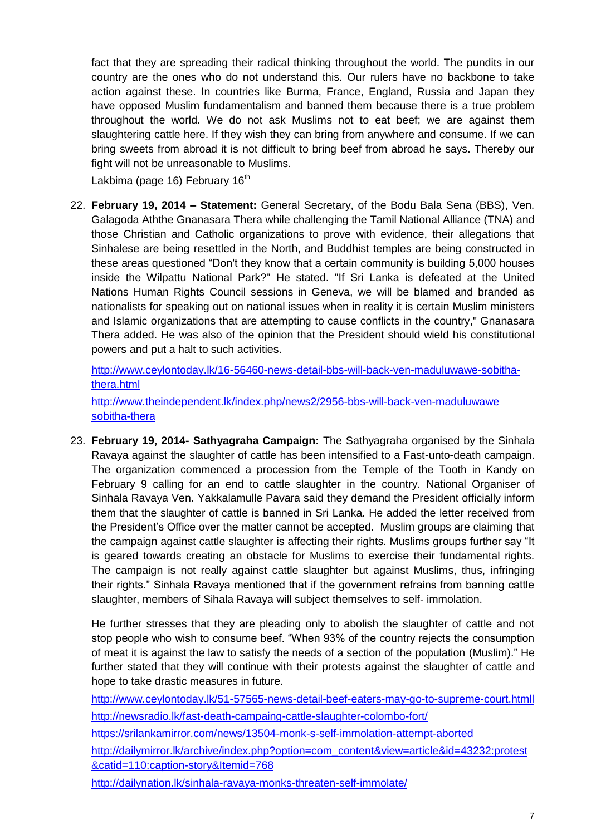fact that they are spreading their radical thinking throughout the world. The pundits in our country are the ones who do not understand this. Our rulers have no backbone to take action against these. In countries like Burma, France, England, Russia and Japan they have opposed Muslim fundamentalism and banned them because there is a true problem throughout the world. We do not ask Muslims not to eat beef; we are against them slaughtering cattle here. If they wish they can bring from anywhere and consume. If we can bring sweets from abroad it is not difficult to bring beef from abroad he says. Thereby our fight will not be unreasonable to Muslims.

Lakbima (page 16) February  $16<sup>th</sup>$ 

22. **February 19, 2014 – Statement:** General Secretary, of the Bodu Bala Sena (BBS), Ven. Galagoda Aththe Gnanasara Thera while challenging the Tamil National Alliance (TNA) and those Christian and Catholic organizations to prove with evidence, their allegations that Sinhalese are being resettled in the North, and Buddhist temples are being constructed in these areas questioned "Don't they know that a certain community is building 5,000 houses inside the Wilpattu National Park?" He stated. "If Sri Lanka is defeated at the United Nations Human Rights Council sessions in Geneva, we will be blamed and branded as nationalists for speaking out on national issues when in reality it is certain Muslim ministers and Islamic organizations that are attempting to cause conflicts in the country," Gnanasara Thera added. He was also of the opinion that the President should wield his constitutional powers and put a halt to such activities.

[http://www.ceylontoday.lk/16-56460-news-detail-bbs-will-back-ven-maduluwawe-sobitha](http://www.ceylontoday.lk/16-56460-news-detail-bbs-will-back-ven-maduluwawe-sobitha-thera.html)[thera.html](http://www.ceylontoday.lk/16-56460-news-detail-bbs-will-back-ven-maduluwawe-sobitha-thera.html) [http://www.theindependent.lk/index.php/news2/2956-bbs-will-back-ven-maduluwawe](http://www.theindependent.lk/index.php/news2/2956-bbs-will-back-ven-maduluwawe%20sobitha-thera)  [sobitha-thera](http://www.theindependent.lk/index.php/news2/2956-bbs-will-back-ven-maduluwawe%20sobitha-thera) 

23. **February 19, 2014- Sathyagraha Campaign:** The Sathyagraha organised by the Sinhala Ravaya against the slaughter of cattle has been intensified to a Fast-unto-death campaign. The organization commenced a procession from the Temple of the Tooth in Kandy on February 9 calling for an end to cattle slaughter in the country. National Organiser of Sinhala Ravaya Ven. Yakkalamulle Pavara said they demand the President officially inform them that the slaughter of cattle is banned in Sri Lanka. He added the letter received from the President"s Office over the matter cannot be accepted. Muslim groups are claiming that the campaign against cattle slaughter is affecting their rights. Muslims groups further say "It is geared towards creating an obstacle for Muslims to exercise their fundamental rights. The campaign is not really against cattle slaughter but against Muslims, thus, infringing their rights." Sinhala Ravaya mentioned that if the government refrains from banning cattle slaughter, members of Sihala Ravaya will subject themselves to self- immolation.

He further stresses that they are pleading only to abolish the slaughter of cattle and not stop people who wish to consume beef. "When 93% of the country rejects the consumption of meat it is against the law to satisfy the needs of a section of the population (Muslim)." He further stated that they will continue with their protests against the slaughter of cattle and hope to take drastic measures in future.

<http://www.ceylontoday.lk/51-57565-news-detail-beef-eaters-may-go-to-supreme-court.htmll> <http://newsradio.lk/fast-death-campaing-cattle-slaughter-colombo-fort/>

<https://srilankamirror.com/news/13504-monk-s-self-immolation-attempt-aborted>

[http://dailymirror.lk/archive/index.php?option=com\\_content&view=article&id=43232:protest](http://dailymirror.lk/archive/index.php?option=com_content&view=article&id=43232:protest&catid=110:caption-story&Itemid=768) [&catid=110:caption-story&Itemid=768](http://dailymirror.lk/archive/index.php?option=com_content&view=article&id=43232:protest&catid=110:caption-story&Itemid=768)

<http://dailynation.lk/sinhala-ravaya-monks-threaten-self-immolate/>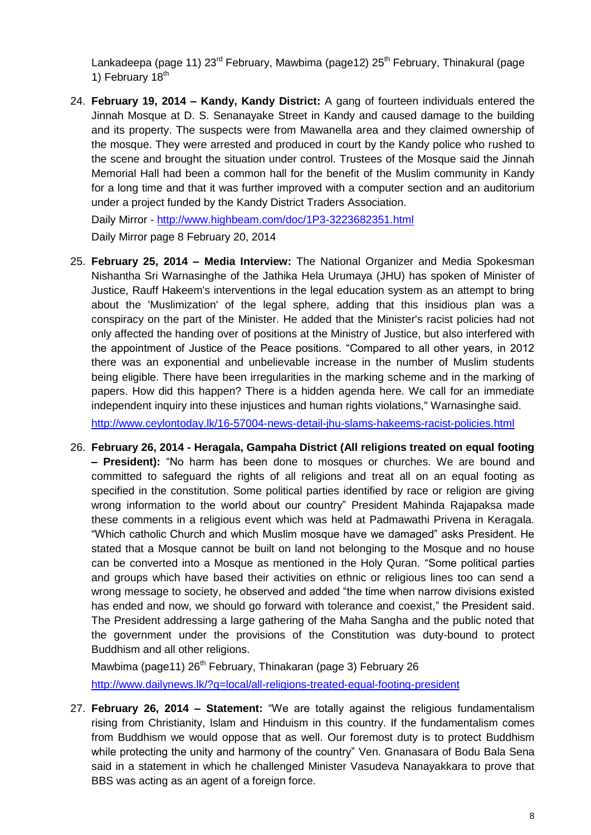Lankadeepa (page 11)  $23<sup>rd</sup>$  February, Mawbima (page12)  $25<sup>th</sup>$  February, Thinakural (page 1) February 18<sup>th</sup>

24. **February 19, 2014 – Kandy, Kandy District:** A gang of fourteen individuals entered the Jinnah Mosque at D. S. Senanayake Street in Kandy and caused damage to the building and its property. The suspects were from Mawanella area and they claimed ownership of the mosque. They were arrested and produced in court by the Kandy police who rushed to the scene and brought the situation under control. Trustees of the Mosque said the Jinnah Memorial Hall had been a common hall for the benefit of the Muslim community in Kandy for a long time and that it was further improved with a computer section and an auditorium under a project funded by the Kandy District Traders Association.

Daily Mirror - <http://www.highbeam.com/doc/1P3-3223682351.html> Daily Mirror page 8 February 20, 2014

- 25. **February 25, 2014 – Media Interview:** The National Organizer and Media Spokesman Nishantha Sri Warnasinghe of the Jathika Hela Urumaya (JHU) has spoken of Minister of Justice, Rauff Hakeem's interventions in the legal education system as an attempt to bring about the 'Muslimization' of the legal sphere, adding that this insidious plan was a conspiracy on the part of the Minister. He added that the Minister's racist policies had not only affected the handing over of positions at the Ministry of Justice, but also interfered with the appointment of Justice of the Peace positions. "Compared to all other years, in 2012 there was an exponential and unbelievable increase in the number of Muslim students being eligible. There have been irregularities in the marking scheme and in the marking of papers. How did this happen? There is a hidden agenda here. We call for an immediate independent inquiry into these injustices and human rights violations," Warnasinghe said. <http://www.ceylontoday.lk/16-57004-news-detail-jhu-slams-hakeems-racist-policies.html>
- 26. **February 26, 2014 - Heragala, Gampaha District (All religions treated on equal footing – President):** "No harm has been done to mosques or churches. We are bound and committed to safeguard the rights of all religions and treat all on an equal footing as specified in the constitution. Some political parties identified by race or religion are giving wrong information to the world about our country" President Mahinda Rajapaksa made these comments in a religious event which was held at Padmawathi Privena in Keragala. "Which catholic Church and which Muslim mosque have we damaged" asks President. He stated that a Mosque cannot be built on land not belonging to the Mosque and no house can be converted into a Mosque as mentioned in the Holy Quran. "Some political parties and groups which have based their activities on ethnic or religious lines too can send a wrong message to society, he observed and added "the time when narrow divisions existed has ended and now, we should go forward with tolerance and coexist," the President said. The President addressing a large gathering of the Maha Sangha and the public noted that the government under the provisions of the Constitution was duty-bound to protect Buddhism and all other religions.

Mawbima (page11) 26<sup>th</sup> February, Thinakaran (page 3) February 26 <http://www.dailynews.lk/?q=local/all-religions-treated-equal-footing-president>

27. **February 26, 2014 – Statement:** "We are totally against the religious fundamentalism rising from Christianity, Islam and Hinduism in this country. If the fundamentalism comes from Buddhism we would oppose that as well. Our foremost duty is to protect Buddhism while protecting the unity and harmony of the country" Ven. Gnanasara of Bodu Bala Sena said in a statement in which he challenged Minister Vasudeva Nanayakkara to prove that BBS was acting as an agent of a foreign force.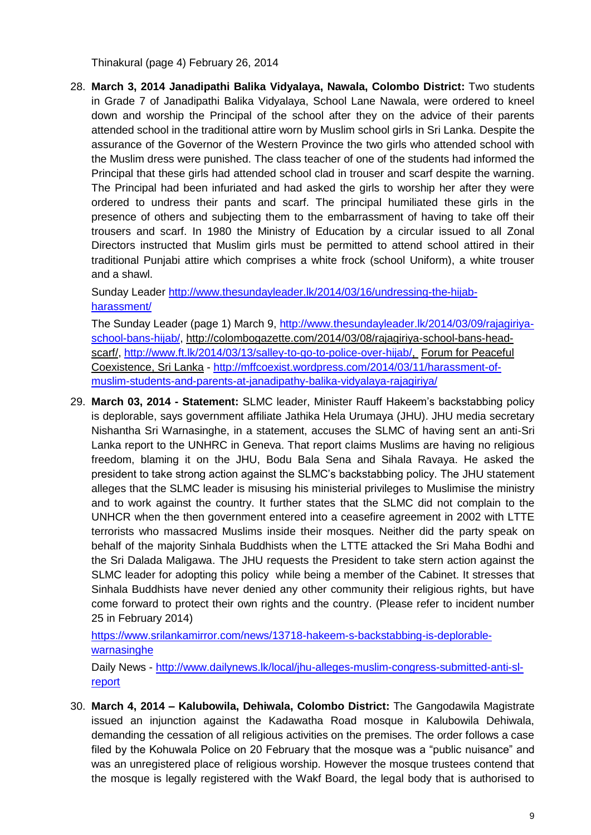Thinakural (page 4) February 26, 2014

28. **March 3, 2014 Janadipathi Balika Vidyalaya, Nawala, Colombo District:** Two students in Grade 7 of Janadipathi Balika Vidyalaya, School Lane Nawala, were ordered to kneel down and worship the Principal of the school after they on the advice of their parents attended school in the traditional attire worn by Muslim school girls in Sri Lanka. Despite the assurance of the Governor of the Western Province the two girls who attended school with the Muslim dress were punished. The class teacher of one of the students had informed the Principal that these girls had attended school clad in trouser and scarf despite the warning. The Principal had been infuriated and had asked the girls to worship her after they were ordered to undress their pants and scarf. The principal humiliated these girls in the presence of others and subjecting them to the embarrassment of having to take off their trousers and scarf. In 1980 the Ministry of Education by a circular issued to all Zonal Directors instructed that Muslim girls must be permitted to attend school attired in their traditional Punjabi attire which comprises a white frock (school Uniform), a white trouser and a shawl.

Sunday Leader [http://www.thesundayleader.lk/2014/03/16/undressing-the-hijab](http://www.thesundayleader.lk/2014/03/16/undressing-the-hijab-harassment/)[harassment/](http://www.thesundayleader.lk/2014/03/16/undressing-the-hijab-harassment/)

The Sunday Leader (page 1) March 9, [http://www.thesundayleader.lk/2014/03/09/rajagiriya](http://www.thesundayleader.lk/2014/03/09/rajagiriya-school-bans-hijab/)[school-bans-hijab/,](http://www.thesundayleader.lk/2014/03/09/rajagiriya-school-bans-hijab/) [http://colombogazette.com/2014/03/08/rajagiriya-school-bans-head](http://colombogazette.com/2014/03/08/rajagiriya-school-bans-head-scarf/)[scarf/,](http://colombogazette.com/2014/03/08/rajagiriya-school-bans-head-scarf/) [http://www.ft.lk/2014/03/13/salley-to-go-to-police-over-hijab/,](http://www.ft.lk/2014/03/13/salley-to-go-to-police-over-hijab/) [Forum for Peaceful](http://mffcoexist.wordpress.com/)  [Coexistence, Sri Lanka](http://mffcoexist.wordpress.com/) - [http://mffcoexist.wordpress.com/2014/03/11/harassment-of](http://mffcoexist.wordpress.com/2014/03/11/harassment-of-muslim-students-and-parents-at-janadipathy-balika-vidyalaya-rajagiriya/)[muslim-students-and-parents-at-janadipathy-balika-vidyalaya-rajagiriya/](http://mffcoexist.wordpress.com/2014/03/11/harassment-of-muslim-students-and-parents-at-janadipathy-balika-vidyalaya-rajagiriya/)

29. **March 03, 2014 - Statement:** SLMC leader, Minister Rauff Hakeem"s backstabbing policy is deplorable, says government affiliate Jathika Hela Urumaya (JHU). JHU media secretary Nishantha Sri Warnasinghe, in a statement, accuses the SLMC of having sent an anti-Sri Lanka report to the UNHRC in Geneva. That report claims Muslims are having no religious freedom, blaming it on the JHU, Bodu Bala Sena and Sihala Ravaya. He asked the president to take strong action against the SLMC"s backstabbing policy. The JHU statement alleges that the SLMC leader is misusing his ministerial privileges to Muslimise the ministry and to work against the country. It further states that the SLMC did not complain to the UNHCR when the then government entered into a ceasefire agreement in 2002 with LTTE terrorists who massacred Muslims inside their mosques. Neither did the party speak on behalf of the majority Sinhala Buddhists when the LTTE attacked the Sri Maha Bodhi and the Sri Dalada Maligawa. The JHU requests the President to take stern action against the SLMC leader for adopting this policy while being a member of the Cabinet. It stresses that Sinhala Buddhists have never denied any other community their religious rights, but have come forward to protect their own rights and the country. (Please refer to incident number 25 in February 2014)

[https://www.srilankamirror.com/news/13718-hakeem-s-backstabbing-is-deplorable](https://www.srilankamirror.com/news/13718-hakeem-s-backstabbing-is-deplorable-warnasinghe)[warnasinghe](https://www.srilankamirror.com/news/13718-hakeem-s-backstabbing-is-deplorable-warnasinghe)

Daily News - [http://www.dailynews.lk/local/jhu-alleges-muslim-congress-submitted-anti-sl](http://www.dailynews.lk/local/jhu-alleges-muslim-congress-submitted-anti-sl-report)[report](http://www.dailynews.lk/local/jhu-alleges-muslim-congress-submitted-anti-sl-report)

30. **March 4, 2014 – Kalubowila, Dehiwala, Colombo District:** The Gangodawila Magistrate issued an injunction against the Kadawatha Road mosque in Kalubowila Dehiwala, demanding the cessation of all religious activities on the premises. The order follows a case filed by the Kohuwala Police on 20 February that the mosque was a "public nuisance" and was an unregistered place of religious worship. However the mosque trustees contend that the mosque is legally registered with the Wakf Board, the legal body that is authorised to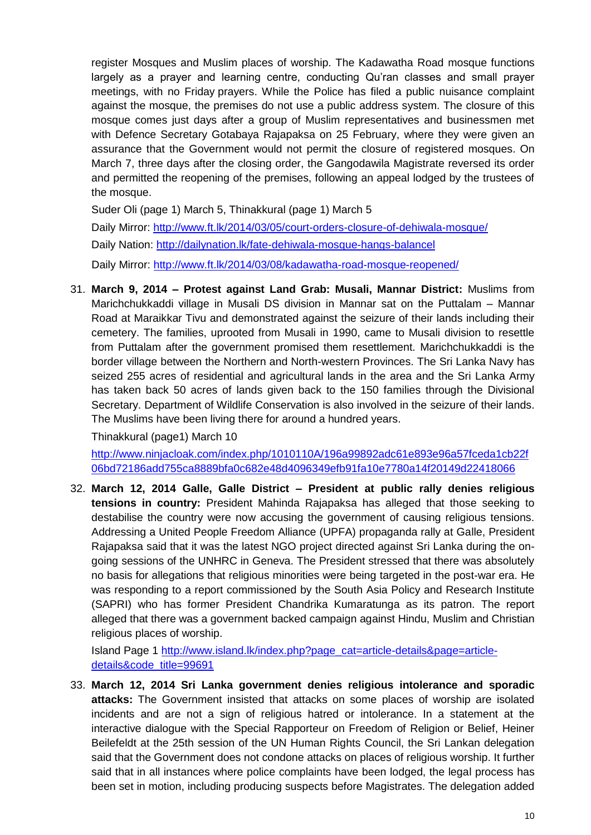register Mosques and Muslim places of worship. The Kadawatha Road mosque functions largely as a prayer and learning centre, conducting Qu"ran classes and small prayer meetings, with no Friday prayers. While the Police has filed a public nuisance complaint against the mosque, the premises do not use a public address system. The closure of this mosque comes just days after a group of Muslim representatives and businessmen met with Defence Secretary Gotabaya Rajapaksa on 25 February, where they were given an assurance that the Government would not permit the closure of registered mosques. On March 7, three days after the closing order, the Gangodawila Magistrate reversed its order and permitted the reopening of the premises, following an appeal lodged by the trustees of the mosque.

Suder Oli (page 1) March 5, Thinakkural (page 1) March 5 Daily Mirror:<http://www.ft.lk/2014/03/05/court-orders-closure-of-dehiwala-mosque/> Daily Nation:<http://dailynation.lk/fate-dehiwala-mosque-hangs-balancel> Daily Mirror:<http://www.ft.lk/2014/03/08/kadawatha-road-mosque-reopened/>

31. **March 9, 2014 – Protest against Land Grab: Musali, Mannar District:** Muslims from Marichchukkaddi village in Musali DS division in Mannar sat on the Puttalam – Mannar Road at Maraikkar Tivu and demonstrated against the seizure of their lands including their cemetery. The families, uprooted from Musali in 1990, came to Musali division to resettle from Puttalam after the government promised them resettlement. Marichchukkaddi is the border village between the Northern and North-western Provinces. The Sri Lanka Navy has seized 255 acres of residential and agricultural lands in the area and the Sri Lanka Army has taken back 50 acres of lands given back to the 150 families through the Divisional Secretary. Department of Wildlife Conservation is also involved in the seizure of their lands. The Muslims have been living there for around a hundred years.

Thinakkural (page1) March 10

[http://www.ninjacloak.com/index.php/1010110A/196a99892adc61e893e96a57fceda1cb22f](http://www.ninjacloak.com/index.php/1010110A/196a99892adc61e893e96a57fceda1cb22f06bd72186add755ca8889bfa0c682e48d4096349efb91fa10e7780a14f20149d22418066) [06bd72186add755ca8889bfa0c682e48d4096349efb91fa10e7780a14f20149d22418066](http://www.ninjacloak.com/index.php/1010110A/196a99892adc61e893e96a57fceda1cb22f06bd72186add755ca8889bfa0c682e48d4096349efb91fa10e7780a14f20149d22418066)

32. **March 12, 2014 Galle, Galle District – President at public rally denies religious tensions in country:** President Mahinda Rajapaksa has alleged that those seeking to destabilise the country were now accusing the government of causing religious tensions. Addressing a United People Freedom Alliance (UPFA) propaganda rally at Galle, President Rajapaksa said that it was the latest NGO project directed against Sri Lanka during the ongoing sessions of the UNHRC in Geneva. The President stressed that there was absolutely no basis for allegations that religious minorities were being targeted in the post-war era. He was responding to a report commissioned by the South Asia Policy and Research Institute (SAPRI) who has former President Chandrika Kumaratunga as its patron. The report alleged that there was a government backed campaign against Hindu, Muslim and Christian religious places of worship.

Island Page 1 [http://www.island.lk/index.php?page\\_cat=article-details&page=article](http://www.island.lk/index.php?page_cat=article-details&page=article-details&code_title=99691)[details&code\\_title=99691](http://www.island.lk/index.php?page_cat=article-details&page=article-details&code_title=99691)

33. **March 12, 2014 Sri Lanka government denies religious intolerance and sporadic attacks:** The Government insisted that attacks on some places of worship are isolated incidents and are not a sign of religious hatred or intolerance. In a statement at the interactive dialogue with the Special Rapporteur on Freedom of Religion or Belief, Heiner Beilefeldt at the 25th session of the UN Human Rights Council, the Sri Lankan delegation said that the Government does not condone attacks on places of religious worship. It further said that in all instances where police complaints have been lodged, the legal process has been set in motion, including producing suspects before Magistrates. The delegation added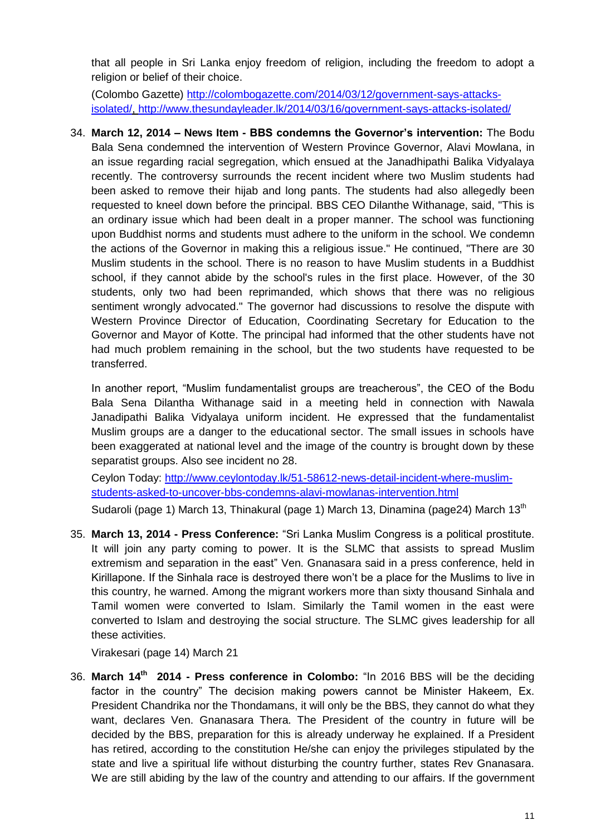that all people in Sri Lanka enjoy freedom of religion, including the freedom to adopt a religion or belief of their choice.

(Colombo Gazette) [http://colombogazette.com/2014/03/12/government-says-attacks](http://colombogazette.com/2014/03/12/government-says-attacks-isolated/)[isolated/,](http://colombogazette.com/2014/03/12/government-says-attacks-isolated/)<http://www.thesundayleader.lk/2014/03/16/government-says-attacks-isolated/>

34. **March 12, 2014 – News Item - BBS condemns the Governor's intervention:** The Bodu Bala Sena condemned the intervention of Western Province Governor, Alavi Mowlana, in an issue regarding racial segregation, which ensued at the Janadhipathi Balika Vidyalaya recently. The controversy surrounds the recent incident where two Muslim students had been asked to remove their hijab and long pants. The students had also allegedly been requested to kneel down before the principal. BBS CEO Dilanthe Withanage, said, "This is an ordinary issue which had been dealt in a proper manner. The school was functioning upon Buddhist norms and students must adhere to the uniform in the school. We condemn the actions of the Governor in making this a religious issue." He continued, "There are 30 Muslim students in the school. There is no reason to have Muslim students in a Buddhist school, if they cannot abide by the school's rules in the first place. However, of the 30 students, only two had been reprimanded, which shows that there was no religious sentiment wrongly advocated." The governor had discussions to resolve the dispute with Western Province Director of Education, Coordinating Secretary for Education to the Governor and Mayor of Kotte. The principal had informed that the other students have not had much problem remaining in the school, but the two students have requested to be transferred.

In another report, "Muslim fundamentalist groups are treacherous", the CEO of the Bodu Bala Sena Dilantha Withanage said in a meeting held in connection with Nawala Janadipathi Balika Vidyalaya uniform incident. He expressed that the fundamentalist Muslim groups are a danger to the educational sector. The small issues in schools have been exaggerated at national level and the image of the country is brought down by these separatist groups. Also see incident no 28.

Ceylon Today: [http://www.ceylontoday.lk/51-58612-news-detail-incident-where-muslim](http://www.ceylontoday.lk/51-58612-news-detail-incident-where-muslim-students-asked-to-uncover-bbs-condemns-alavi-mowlanas-intervention.html)[students-asked-to-uncover-bbs-condemns-alavi-mowlanas-intervention.html](http://www.ceylontoday.lk/51-58612-news-detail-incident-where-muslim-students-asked-to-uncover-bbs-condemns-alavi-mowlanas-intervention.html)

Sudaroli (page 1) March 13, Thinakural (page 1) March 13, Dinamina (page24) March 13<sup>th</sup>

35. **March 13, 2014 - Press Conference:** "Sri Lanka Muslim Congress is a political prostitute. It will join any party coming to power. It is the SLMC that assists to spread Muslim extremism and separation in the east" Ven. Gnanasara said in a press conference, held in Kirillapone. If the Sinhala race is destroyed there won"t be a place for the Muslims to live in this country, he warned. Among the migrant workers more than sixty thousand Sinhala and Tamil women were converted to Islam. Similarly the Tamil women in the east were converted to Islam and destroying the social structure. The SLMC gives leadership for all these activities.

Virakesari (page 14) March 21

36. **March 14th 2014 - Press conference in Colombo:** "In 2016 BBS will be the deciding factor in the country" The decision making powers cannot be Minister Hakeem, Ex. President Chandrika nor the Thondamans, it will only be the BBS, they cannot do what they want, declares Ven. Gnanasara Thera. The President of the country in future will be decided by the BBS, preparation for this is already underway he explained. If a President has retired, according to the constitution He/she can enjoy the privileges stipulated by the state and live a spiritual life without disturbing the country further, states Rev Gnanasara. We are still abiding by the law of the country and attending to our affairs. If the government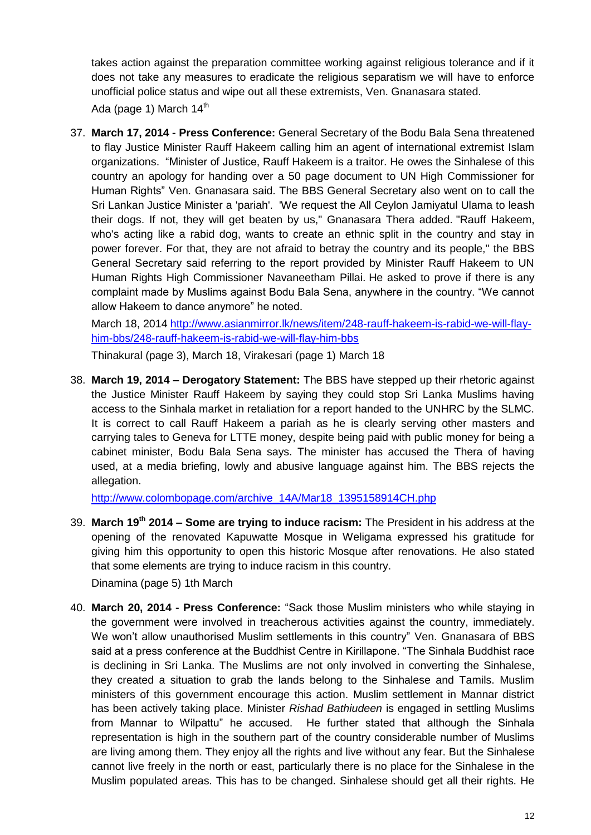takes action against the preparation committee working against religious tolerance and if it does not take any measures to eradicate the religious separatism we will have to enforce unofficial police status and wipe out all these extremists, Ven. Gnanasara stated. Ada (page 1) March  $14<sup>th</sup>$ 

37. **March 17, 2014 - Press Conference:** General Secretary of the Bodu Bala Sena threatened to flay Justice Minister Rauff Hakeem calling him an agent of international extremist Islam organizations. "Minister of Justice, Rauff Hakeem is a traitor. He owes the Sinhalese of this country an apology for handing over a 50 page document to UN High Commissioner for Human Rights" Ven. Gnanasara said. The BBS General Secretary also went on to call the Sri Lankan Justice Minister a 'pariah'. 'We request the All Ceylon Jamiyatul Ulama to leash their dogs. If not, they will get beaten by us," Gnanasara Thera added. "Rauff Hakeem, who's acting like a rabid dog, wants to create an ethnic split in the country and stay in power forever. For that, they are not afraid to betray the country and its people," the BBS General Secretary said referring to the report provided by Minister Rauff Hakeem to UN Human Rights High Commissioner Navaneetham Pillai. He asked to prove if there is any complaint made by Muslims against Bodu Bala Sena, anywhere in the country. "We cannot allow Hakeem to dance anymore" he noted.

March 18, 2014 [http://www.asianmirror.lk/news/item/248-rauff-hakeem-is-rabid-we-will-flay](http://www.asianmirror.lk/news/item/248-rauff-hakeem-is-rabid-we-will-flay-him-bbs/248-rauff-hakeem-is-rabid-we-will-flay-him-bbs)[him-bbs/248-rauff-hakeem-is-rabid-we-will-flay-him-bbs](http://www.asianmirror.lk/news/item/248-rauff-hakeem-is-rabid-we-will-flay-him-bbs/248-rauff-hakeem-is-rabid-we-will-flay-him-bbs)

Thinakural (page 3), March 18, Virakesari (page 1) March 18

38. **March 19, 2014 – Derogatory Statement:** The BBS have stepped up their rhetoric against the Justice Minister Rauff Hakeem by saying they could stop Sri Lanka Muslims having access to the Sinhala market in retaliation for a report handed to the UNHRC by the SLMC. It is correct to call Rauff Hakeem a pariah as he is clearly serving other masters and carrying tales to Geneva for LTTE money, despite being paid with public money for being a cabinet minister, Bodu Bala Sena says. The minister has accused the Thera of having used, at a media briefing, lowly and abusive language against him. The BBS rejects the allegation.

[http://www.colombopage.com/archive\\_14A/Mar18\\_1395158914CH.php](http://www.colombopage.com/archive_14A/Mar18_1395158914CH.php)

39. **March 19th 2014 – Some are trying to induce racism:** The President in his address at the opening of the renovated Kapuwatte Mosque in Weligama expressed his gratitude for giving him this opportunity to open this historic Mosque after renovations. He also stated that some elements are trying to induce racism in this country.

Dinamina (page 5) 1th March

40. **March 20, 2014 - Press Conference:** "Sack those Muslim ministers who while staying in the government were involved in treacherous activities against the country, immediately. We won't allow unauthorised Muslim settlements in this country" Ven. Gnanasara of BBS said at a press conference at the Buddhist Centre in Kirillapone. "The Sinhala Buddhist race is declining in Sri Lanka. The Muslims are not only involved in converting the Sinhalese, they created a situation to grab the lands belong to the Sinhalese and Tamils. Muslim ministers of this government encourage this action. Muslim settlement in Mannar district has been actively taking place. Minister *Rishad Bathiudeen* is engaged in settling Muslims from Mannar to Wilpattu" he accused. He further stated that although the Sinhala representation is high in the southern part of the country considerable number of Muslims are living among them. They enjoy all the rights and live without any fear. But the Sinhalese cannot live freely in the north or east, particularly there is no place for the Sinhalese in the Muslim populated areas. This has to be changed. Sinhalese should get all their rights. He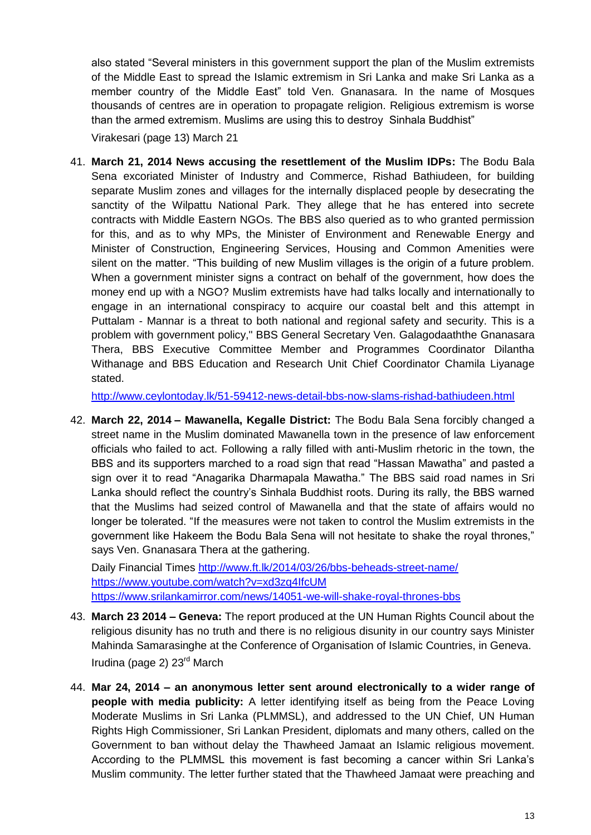also stated "Several ministers in this government support the plan of the Muslim extremists of the Middle East to spread the Islamic extremism in Sri Lanka and make Sri Lanka as a member country of the Middle East" told Ven. Gnanasara. In the name of Mosques thousands of centres are in operation to propagate religion. Religious extremism is worse than the armed extremism. Muslims are using this to destroy Sinhala Buddhist"

Virakesari (page 13) March 21

41. **March 21, 2014 News accusing the resettlement of the Muslim IDPs:** The Bodu Bala Sena excoriated Minister of Industry and Commerce, Rishad Bathiudeen, for building separate Muslim zones and villages for the internally displaced people by desecrating the sanctity of the Wilpattu National Park. They allege that he has entered into secrete contracts with Middle Eastern NGOs. The BBS also queried as to who granted permission for this, and as to why MPs, the Minister of Environment and Renewable Energy and Minister of Construction, Engineering Services, Housing and Common Amenities were silent on the matter. "This building of new Muslim villages is the origin of a future problem. When a government minister signs a contract on behalf of the government, how does the money end up with a NGO? Muslim extremists have had talks locally and internationally to engage in an international conspiracy to acquire our coastal belt and this attempt in Puttalam - Mannar is a threat to both national and regional safety and security. This is a problem with government policy," BBS General Secretary Ven. Galagodaaththe Gnanasara Thera, BBS Executive Committee Member and Programmes Coordinator Dilantha Withanage and BBS Education and Research Unit Chief Coordinator Chamila Liyanage stated.

<http://www.ceylontoday.lk/51-59412-news-detail-bbs-now-slams-rishad-bathiudeen.html>

42. **March 22, 2014 – Mawanella, Kegalle District:** The Bodu Bala Sena forcibly changed a street name in the Muslim dominated Mawanella town in the presence of law enforcement officials who failed to act. Following a rally filled with anti-Muslim rhetoric in the town, the BBS and its supporters marched to a road sign that read "Hassan Mawatha" and pasted a sign over it to read "Anagarika Dharmapala Mawatha." The BBS said road names in Sri Lanka should reflect the country"s Sinhala Buddhist roots. During its rally, the BBS warned that the Muslims had seized control of Mawanella and that the state of affairs would no longer be tolerated. "If the measures were not taken to control the Muslim extremists in the government like Hakeem the Bodu Bala Sena will not hesitate to shake the royal thrones," says Ven. Gnanasara Thera at the gathering.

Daily Financial Times<http://www.ft.lk/2014/03/26/bbs-beheads-street-name/> <https://www.youtube.com/watch?v=xd3zq4IfcUM> <https://www.srilankamirror.com/news/14051-we-will-shake-royal-thrones-bbs>

- 43. **March 23 2014 – Geneva:** The report produced at the UN Human Rights Council about the religious disunity has no truth and there is no religious disunity in our country says Minister Mahinda Samarasinghe at the Conference of Organisation of Islamic Countries, in Geneva. Irudina (page 2) 23rd March
- 44. **Mar 24, 2014 – an anonymous letter sent around electronically to a wider range of people with media publicity:** A letter identifying itself as being from the Peace Loving Moderate Muslims in Sri Lanka (PLMMSL), and addressed to the UN Chief, UN Human Rights High Commissioner, Sri Lankan President, diplomats and many others, called on the Government to ban without delay the Thawheed Jamaat an Islamic religious movement. According to the PLMMSL this movement is fast becoming a cancer within Sri Lanka"s Muslim community. The letter further stated that the Thawheed Jamaat were preaching and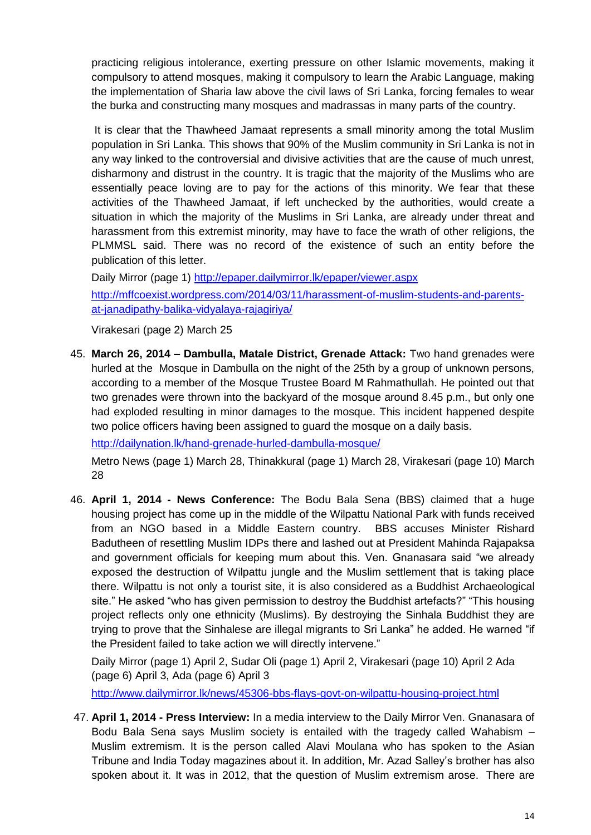practicing religious intolerance, exerting pressure on other Islamic movements, making it compulsory to attend mosques, making it compulsory to learn the Arabic Language, making the implementation of Sharia law above the civil laws of Sri Lanka, forcing females to wear the burka and constructing many mosques and madrassas in many parts of the country.

It is clear that the Thawheed Jamaat represents a small minority among the total Muslim population in Sri Lanka. This shows that 90% of the Muslim community in Sri Lanka is not in any way linked to the controversial and divisive activities that are the cause of much unrest, disharmony and distrust in the country. It is tragic that the majority of the Muslims who are essentially peace loving are to pay for the actions of this minority. We fear that these activities of the Thawheed Jamaat, if left unchecked by the authorities, would create a situation in which the majority of the Muslims in Sri Lanka, are already under threat and harassment from this extremist minority, may have to face the wrath of other religions, the PLMMSL said. There was no record of the existence of such an entity before the publication of this letter.

Daily Mirror (page 1)<http://epaper.dailymirror.lk/epaper/viewer.aspx> [http://mffcoexist.wordpress.com/2014/03/11/harassment-of-muslim-students-and-parents](http://mffcoexist.wordpress.com/2014/03/11/harassment-of-muslim-students-and-parents-at-janadipathy-balika-vidyalaya-rajagiriya/)[at-janadipathy-balika-vidyalaya-rajagiriya/](http://mffcoexist.wordpress.com/2014/03/11/harassment-of-muslim-students-and-parents-at-janadipathy-balika-vidyalaya-rajagiriya/)

Virakesari (page 2) March 25

45. **March 26, 2014 – Dambulla, Matale District, Grenade Attack:** Two hand grenades were hurled at the Mosque in Dambulla on the night of the 25th by a group of unknown persons, according to a member of the Mosque Trustee Board M Rahmathullah. He pointed out that two grenades were thrown into the backyard of the mosque around 8.45 p.m., but only one had exploded resulting in minor damages to the mosque. This incident happened despite two police officers having been assigned to guard the mosque on a daily basis.

<http://dailynation.lk/hand-grenade-hurled-dambulla-mosque/>

Metro News (page 1) March 28, Thinakkural (page 1) March 28, Virakesari (page 10) March 28

46. **April 1, 2014 - News Conference:** The Bodu Bala Sena (BBS) claimed that a huge housing project has come up in the middle of the Wilpattu National Park with funds received from an NGO based in a Middle Eastern country. BBS accuses Minister Rishard Badutheen of resettling Muslim IDPs there and lashed out at President Mahinda Rajapaksa and government officials for keeping mum about this. Ven. Gnanasara said "we already exposed the destruction of Wilpattu jungle and the Muslim settlement that is taking place there. Wilpattu is not only a tourist site, it is also considered as a Buddhist Archaeological site." He asked "who has given permission to destroy the Buddhist artefacts?" "This housing project reflects only one ethnicity (Muslims). By destroying the Sinhala Buddhist they are trying to prove that the Sinhalese are illegal migrants to Sri Lanka" he added. He warned "if the President failed to take action we will directly intervene."

Daily Mirror (page 1) April 2, Sudar Oli (page 1) April 2, Virakesari (page 10) April 2 Ada (page 6) April 3, Ada (page 6) April 3

<http://www.dailymirror.lk/news/45306-bbs-flays-govt-on-wilpattu-housing-project.html>

47. **April 1, 2014 - Press Interview:** In a media interview to the Daily Mirror Ven. Gnanasara of Bodu Bala Sena says Muslim society is entailed with the tragedy called Wahabism – Muslim extremism. It is the person called Alavi Moulana who has spoken to the Asian Tribune and India Today magazines about it. In addition, Mr. Azad Salley"s brother has also spoken about it. It was in 2012, that the question of Muslim extremism arose. There are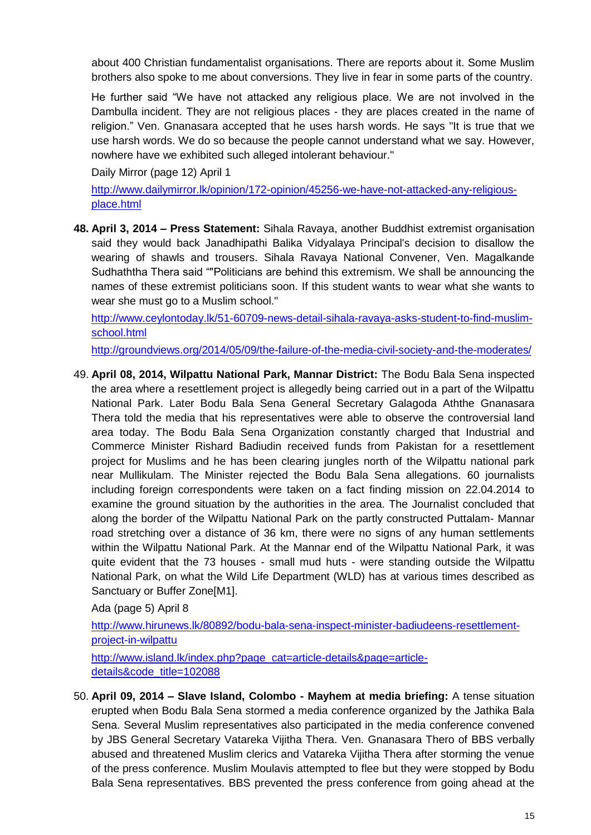about 400 Christian fundamentalist organisations. There are reports about it. Some Muslim brothers also spoke to me about conversions. They live in fear in some parts of the country.

He further said "We have not attacked any religious place. We are not involved in the Dambulla incident. They are not religious places - they are places created in the name of religion." Ven. Gnanasara accepted that he uses harsh words. He says "It is true that we use harsh words. We do so because the people cannot understand what we say. However, nowhere have we exhibited such alleged intolerant behaviour."

Daily Mirror (page 12) April 1

[http://www.dailymirror.lk/opinion/172-opinion/45256-we-have-not-attacked-any-religious](http://www.dailymirror.lk/opinion/172-opinion/45256-we-have-not-attacked-any-religious-place.html)[place.html](http://www.dailymirror.lk/opinion/172-opinion/45256-we-have-not-attacked-any-religious-place.html)

**48. April 3, 2014 – Press Statement:** Sihala Ravaya, another Buddhist extremist organisation said they would back Janadhipathi Balika Vidyalaya Principal's decision to disallow the wearing of shawls and trousers. Sihala Ravaya National Convener, Ven. Magalkande Sudhaththa Thera said ""Politicians are behind this extremism. We shall be announcing the names of these extremist politicians soon. If this student wants to wear what she wants to wear she must go to a Muslim school."

[http://www.ceylontoday.lk/51-60709-news-detail-sihala-ravaya-asks-student-to-find-muslim](http://www.ceylontoday.lk/51-60709-news-detail-sihala-ravaya-asks-student-to-find-muslim-school.html)[school.html](http://www.ceylontoday.lk/51-60709-news-detail-sihala-ravaya-asks-student-to-find-muslim-school.html)

<http://groundviews.org/2014/05/09/the-failure-of-the-media-civil-society-and-the-moderates/>

49. **April 08, 2014, Wilpattu National Park, Mannar District:** The Bodu Bala Sena inspected the area where a resettlement project is allegedly being carried out in a part of the Wilpattu National Park. Later Bodu Bala Sena General Secretary Galagoda Aththe Gnanasara Thera told the media that his representatives were able to observe the controversial land area today. The Bodu Bala Sena Organization constantly charged that Industrial and Commerce Minister Rishard Badiudin received funds from Pakistan for a resettlement project for Muslims and he has been clearing jungles north of the Wilpattu national park near Mullikulam. The Minister rejected the Bodu Bala Sena allegations. 60 journalists including foreign correspondents were taken on a fact finding mission on 22.04.2014 to examine the ground situation by the authorities in the area. The Journalist concluded that along the border of the Wilpattu National Park on the partly constructed Puttalam- Mannar road stretching over a distance of 36 km, there were no signs of any human settlements within the Wilpattu National Park. At the Mannar end of the Wilpattu National Park, it was quite evident that the 73 houses - small mud huts - were standing outside the Wilpattu National Park, on what the Wild Life Department (WLD) has at various times described as Sanctuary or Buffer Zon[e\[M1\].](file:///C:/Users/Mohammed%20Mahuruf/AppData/Local/Microsoft/Windows/Temporary%20Internet%20Files/Content.Outlook/L2VXWIT6/Incidents%20April%202014.htm%23_msocom_1)

Ada (page 5) April 8

[http://www.hirunews.lk/80892/bodu-bala-sena-inspect-minister-badiudeens-resettlement](http://www.hirunews.lk/80892/bodu-bala-sena-inspect-minister-badiudeens-resettlement-project-in-wilpattu)[project-in-wilpattu](http://www.hirunews.lk/80892/bodu-bala-sena-inspect-minister-badiudeens-resettlement-project-in-wilpattu) 

[http://www.island.lk/index.php?page\\_cat=article-details&page=article](http://www.island.lk/index.php?page_cat=article-details&page=article-details&code_title=102088)[details&code\\_title=102088](http://www.island.lk/index.php?page_cat=article-details&page=article-details&code_title=102088)

50. **April 09, 2014 – Slave Island, Colombo - Mayhem at media briefing:** A tense situation erupted when Bodu Bala Sena stormed a media conference organized by the Jathika Bala Sena. Several Muslim representatives also participated in the media conference convened by JBS General Secretary Vatareka Vijitha Thera. Ven. Gnanasara Thero of BBS verbally abused and threatened Muslim clerics and Vatareka Vijitha Thera after storming the venue of the press conference. Muslim Moulavis attempted to flee but they were stopped by Bodu Bala Sena representatives. BBS prevented the press conference from going ahead at the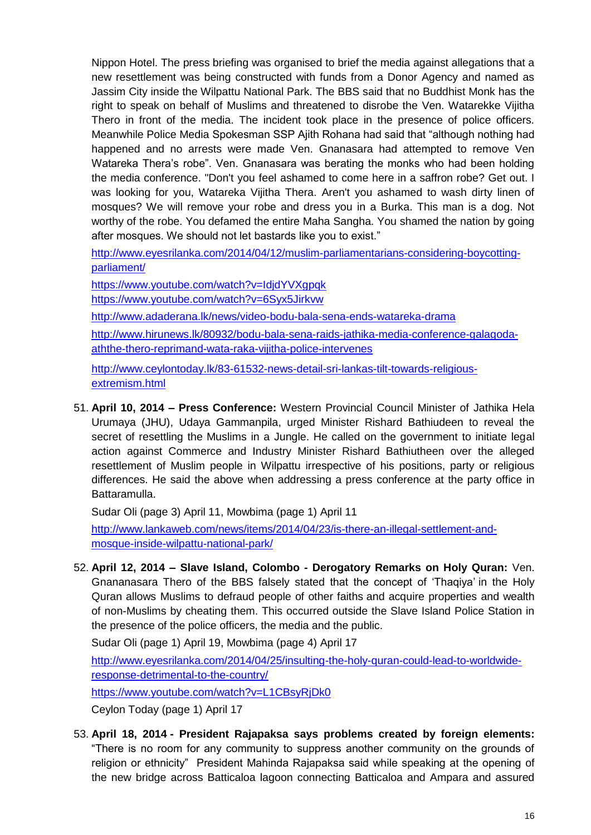Nippon Hotel. The press briefing was organised to brief the media against allegations that a new resettlement was being constructed with funds from a Donor Agency and named as Jassim City inside the Wilpattu National Park. The BBS said that no Buddhist Monk has the right to speak on behalf of Muslims and threatened to disrobe the Ven. Watarekke Vijitha Thero in front of the media. The incident took place in the presence of police officers. Meanwhile Police Media Spokesman SSP Ajith Rohana had said that "although nothing had happened and no arrests were made Ven. Gnanasara had attempted to remove Ven Watareka Thera"s robe". Ven. Gnanasara was berating the monks who had been holding the media conference. "Don't you feel ashamed to come here in a saffron robe? Get out. I was looking for you, Watareka Vijitha Thera. Aren't you ashamed to wash dirty linen of mosques? We will remove your robe and dress you in a Burka. This man is a dog. Not worthy of the robe. You defamed the entire Maha Sangha. You shamed the nation by going after mosques. We should not let bastards like you to exist."

[http://www.eyesrilanka.com/2014/04/12/muslim-parliamentarians-considering-boycotting](http://www.eyesrilanka.com/2014/04/12/muslim-parliamentarians-considering-boycotting-parliament/)[parliament/](http://www.eyesrilanka.com/2014/04/12/muslim-parliamentarians-considering-boycotting-parliament/)

https://www.youtube.com/watch?v=IdidYVXgpqk

<https://www.youtube.com/watch?v=6Syx5Jirkvw>

<http://www.adaderana.lk/news/video-bodu-bala-sena-ends-watareka-drama>

[http://www.hirunews.lk/80932/bodu-bala-sena-raids-jathika-media-conference-galagoda](http://www.hirunews.lk/80932/bodu-bala-sena-raids-jathika-media-conference-galagoda-aththe-thero-reprimand-wata-raka-vijitha-police-intervenes)[aththe-thero-reprimand-wata-raka-vijitha-police-intervenes](http://www.hirunews.lk/80932/bodu-bala-sena-raids-jathika-media-conference-galagoda-aththe-thero-reprimand-wata-raka-vijitha-police-intervenes)

[http://www.ceylontoday.lk/83-61532-news-detail-sri-lankas-tilt-towards-religious](http://www.ceylontoday.lk/83-61532-news-detail-sri-lankas-tilt-towards-religious-extremism.html)[extremism.html](http://www.ceylontoday.lk/83-61532-news-detail-sri-lankas-tilt-towards-religious-extremism.html)

51. **April 10, 2014 – Press Conference:** Western Provincial Council Minister of Jathika Hela Urumaya (JHU), Udaya Gammanpila, urged Minister Rishard Bathiudeen to reveal the secret of resettling the Muslims in a Jungle. He called on the government to initiate legal action against Commerce and Industry Minister Rishard Bathiutheen over the alleged resettlement of Muslim people in Wilpattu irrespective of his positions, party or religious differences. He said the above when addressing a press conference at the party office in Battaramulla.

Sudar Oli (page 3) April 11, Mowbima (page 1) April 11

[http://www.lankaweb.com/news/items/2014/04/23/is-there-an-illegal-settlement-and](http://www.lankaweb.com/news/items/2014/04/23/is-there-an-illegal-settlement-and-mosque-inside-wilpattu-national-park/)[mosque-inside-wilpattu-national-park/](http://www.lankaweb.com/news/items/2014/04/23/is-there-an-illegal-settlement-and-mosque-inside-wilpattu-national-park/)

52. **April 12, 2014 – Slave Island, Colombo - Derogatory Remarks on Holy Quran:** Ven. Gnananasara Thero of the BBS falsely stated that the concept of "Thaqiya" in the Holy Quran allows Muslims to defraud people of other faiths and acquire properties and wealth of non-Muslims by cheating them. This occurred outside the Slave Island Police Station in the presence of the police officers, the media and the public.

Sudar Oli (page 1) April 19, Mowbima (page 4) April 17

[http://www.eyesrilanka.com/2014/04/25/insulting-the-holy-quran-could-lead-to-worldwide](http://www.eyesrilanka.com/2014/04/25/insulting-the-holy-quran-could-lead-to-worldwide-response-detrimental-to-the-country/)[response-detrimental-to-the-country/](http://www.eyesrilanka.com/2014/04/25/insulting-the-holy-quran-could-lead-to-worldwide-response-detrimental-to-the-country/)

<https://www.youtube.com/watch?v=L1CBsyRjDk0>

Ceylon Today (page 1) April 17

53. **April 18, 2014 - President Rajapaksa says problems created by foreign elements:**  "There is no room for any community to suppress another community on the grounds of religion or ethnicity" President Mahinda Rajapaksa said while speaking at the opening of the new bridge across Batticaloa lagoon connecting Batticaloa and Ampara and assured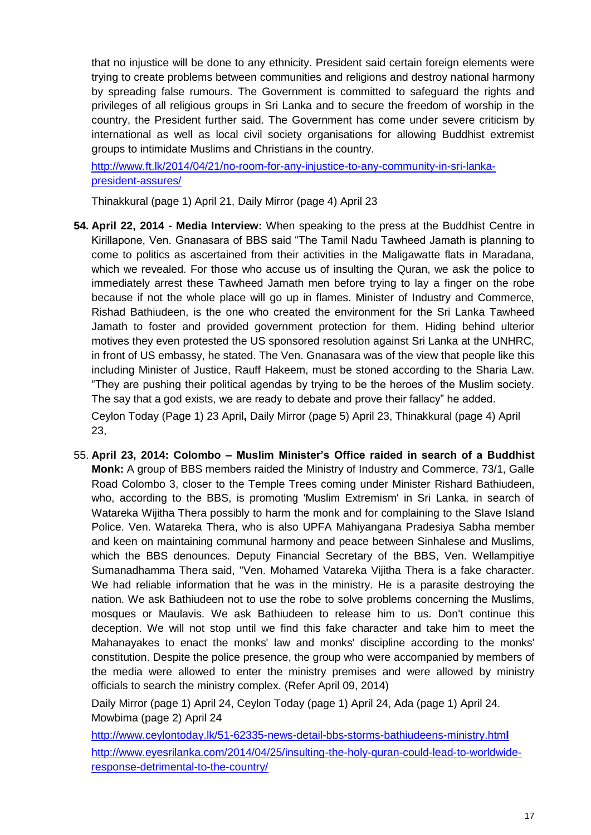that no injustice will be done to any ethnicity. President said certain foreign elements were trying to create problems between communities and religions and destroy national harmony by spreading false rumours. The Government is committed to safeguard the rights and privileges of all religious groups in Sri Lanka and to secure the freedom of worship in the country, the President further said. The Government has come under severe criticism by international as well as local civil society organisations for allowing Buddhist extremist groups to intimidate Muslims and Christians in the country.

[http://www.ft.lk/2014/04/21/no-room-for-any-injustice-to-any-community-in-sri-lanka](http://www.ft.lk/2014/04/21/no-room-for-any-injustice-to-any-community-in-sri-lanka-president-assures/)[president-assures/](http://www.ft.lk/2014/04/21/no-room-for-any-injustice-to-any-community-in-sri-lanka-president-assures/)

Thinakkural (page 1) April 21, Daily Mirror (page 4) April 23

- **54. April 22, 2014 - Media Interview:** When speaking to the press at the Buddhist Centre in Kirillapone, Ven. Gnanasara of BBS said "The Tamil Nadu Tawheed Jamath is planning to come to politics as ascertained from their activities in the Maligawatte flats in Maradana, which we revealed. For those who accuse us of insulting the Quran, we ask the police to immediately arrest these Tawheed Jamath men before trying to lay a finger on the robe because if not the whole place will go up in flames. Minister of Industry and Commerce, Rishad Bathiudeen, is the one who created the environment for the Sri Lanka Tawheed Jamath to foster and provided government protection for them. Hiding behind ulterior motives they even protested the US sponsored resolution against Sri Lanka at the UNHRC, in front of US embassy, he stated. The Ven. Gnanasara was of the view that people like this including Minister of Justice, Rauff Hakeem, must be stoned according to the Sharia Law. "They are pushing their political agendas by trying to be the heroes of the Muslim society. The say that a god exists, we are ready to debate and prove their fallacy" he added. Ceylon Today (Page 1) 23 April**,** Daily Mirror (page 5) April 23, Thinakkural (page 4) April 23,
- 55. **April 23, 2014: Colombo – Muslim Minister's Office raided in search of a Buddhist Monk:** A group of BBS members raided the Ministry of Industry and Commerce, 73/1, Galle Road Colombo 3, closer to the Temple Trees coming under Minister Rishard Bathiudeen, who, according to the BBS, is promoting 'Muslim Extremism' in Sri Lanka, in search of Watareka Wijitha Thera possibly to harm the monk and for complaining to the Slave Island Police. Ven. Watareka Thera, who is also UPFA Mahiyangana Pradesiya Sabha member and keen on maintaining communal harmony and peace between Sinhalese and Muslims, which the BBS denounces. Deputy Financial Secretary of the BBS, Ven. Wellampitiye Sumanadhamma Thera said, "Ven. Mohamed Vatareka Vijitha Thera is a fake character. We had reliable information that he was in the ministry. He is a parasite destroying the nation. We ask Bathiudeen not to use the robe to solve problems concerning the Muslims, mosques or Maulavis. We ask Bathiudeen to release him to us. Don't continue this deception. We will not stop until we find this fake character and take him to meet the Mahanayakes to enact the monks' law and monks' discipline according to the monks' constitution. Despite the police presence, the group who were accompanied by members of the media were allowed to enter the ministry premises and were allowed by ministry officials to search the ministry complex. (Refer April 09, 2014)

Daily Mirror (page 1) April 24, Ceylon Today (page 1) April 24, Ada (page 1) April 24. Mowbima (page 2) April 24

[http://www.ceylontoday.lk/51-62335-news-detail-bbs-storms-bathiudeens-ministry.htm](http://www.ceylontoday.lk/51-62335-news-detail-bbs-storms-bathiudeens-ministry.html)**l** [http://www.eyesrilanka.com/2014/04/25/insulting-the-holy-quran-could-lead-to-worldwide](http://www.eyesrilanka.com/2014/04/25/insulting-the-holy-quran-could-lead-to-worldwide-response-detrimental-to-the-country/)[response-detrimental-to-the-country/](http://www.eyesrilanka.com/2014/04/25/insulting-the-holy-quran-could-lead-to-worldwide-response-detrimental-to-the-country/)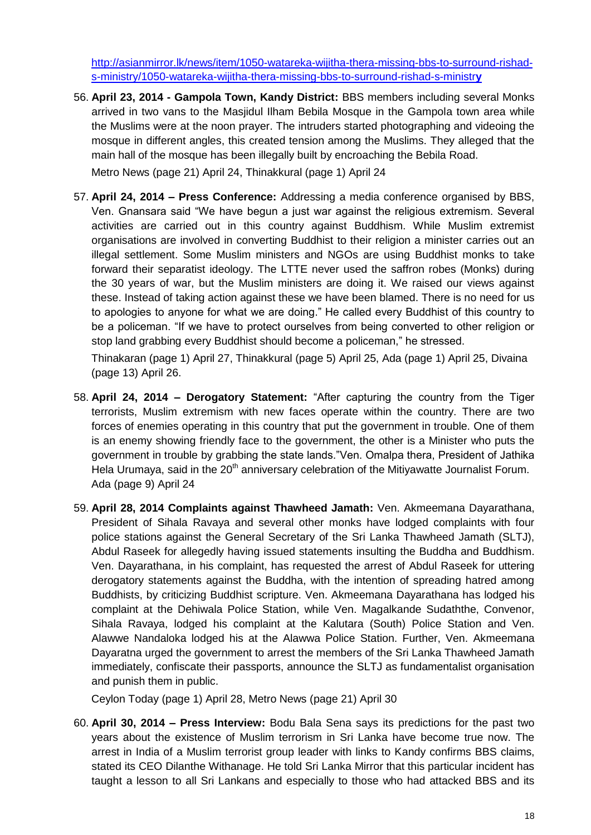[http://asianmirror.lk/news/item/1050-watareka-wijitha-thera-missing-bbs-to-surround-rishad](http://asianmirror.lk/news/item/1050-watareka-wijitha-thera-missing-bbs-to-surround-rishad-s-ministry/1050-watareka-wijitha-thera-missing-bbs-to-surround-rishad-s-ministry)[s-ministry/1050-watareka-wijitha-thera-missing-bbs-to-surround-rishad-s-ministr](http://asianmirror.lk/news/item/1050-watareka-wijitha-thera-missing-bbs-to-surround-rishad-s-ministry/1050-watareka-wijitha-thera-missing-bbs-to-surround-rishad-s-ministry)**y**

56. **April 23, 2014 - Gampola Town, Kandy District:** BBS members including several Monks arrived in two vans to the Masjidul Ilham Bebila Mosque in the Gampola town area while the Muslims were at the noon prayer. The intruders started photographing and videoing the mosque in different angles, this created tension among the Muslims. They alleged that the main hall of the mosque has been illegally built by encroaching the Bebila Road.

Metro News (page 21) April 24, Thinakkural (page 1) April 24

57. **April 24, 2014 – Press Conference:** Addressing a media conference organised by BBS, Ven. Gnansara said "We have begun a just war against the religious extremism. Several activities are carried out in this country against Buddhism. While Muslim extremist organisations are involved in converting Buddhist to their religion a minister carries out an illegal settlement. Some Muslim ministers and NGOs are using Buddhist monks to take forward their separatist ideology. The LTTE never used the saffron robes (Monks) during the 30 years of war, but the Muslim ministers are doing it. We raised our views against these. Instead of taking action against these we have been blamed. There is no need for us to apologies to anyone for what we are doing." He called every Buddhist of this country to be a policeman. "If we have to protect ourselves from being converted to other religion or stop land grabbing every Buddhist should become a policeman," he stressed.

Thinakaran (page 1) April 27, Thinakkural (page 5) April 25, Ada (page 1) April 25, Divaina (page 13) April 26.

- 58. **April 24, 2014 – Derogatory Statement:** "After capturing the country from the Tiger terrorists, Muslim extremism with new faces operate within the country. There are two forces of enemies operating in this country that put the government in trouble. One of them is an enemy showing friendly face to the government, the other is a Minister who puts the government in trouble by grabbing the state lands."Ven. Omalpa thera, President of Jathika Hela Urumaya, said in the 20<sup>th</sup> anniversary celebration of the Mitiyawatte Journalist Forum. Ada (page 9) April 24
- 59. **April 28, 2014 Complaints against Thawheed Jamath:** Ven. Akmeemana Dayarathana, President of Sihala Ravaya and several other monks have lodged complaints with four police stations against the General Secretary of the Sri Lanka Thawheed Jamath (SLTJ), Abdul Raseek for allegedly having issued statements insulting the Buddha and Buddhism. Ven. Dayarathana, in his complaint, has requested the arrest of Abdul Raseek for uttering derogatory statements against the Buddha, with the intention of spreading hatred among Buddhists, by criticizing Buddhist scripture. Ven. Akmeemana Dayarathana has lodged his complaint at the Dehiwala Police Station, while Ven. Magalkande Sudaththe, Convenor, Sihala Ravaya, lodged his complaint at the Kalutara (South) Police Station and Ven. Alawwe Nandaloka lodged his at the Alawwa Police Station. Further, Ven. Akmeemana Dayaratna urged the government to arrest the members of the Sri Lanka Thawheed Jamath immediately, confiscate their passports, announce the SLTJ as fundamentalist organisation and punish them in public.

Ceylon Today (page 1) April 28, Metro News (page 21) April 30

60. **April 30, 2014 – Press Interview:** Bodu Bala Sena says its predictions for the past two years about the existence of Muslim terrorism in Sri Lanka have become true now. The arrest in India of a Muslim terrorist group leader with links to Kandy confirms BBS claims, stated its CEO Dilanthe Withanage. He told Sri Lanka Mirror that this particular incident has taught a lesson to all Sri Lankans and especially to those who had attacked BBS and its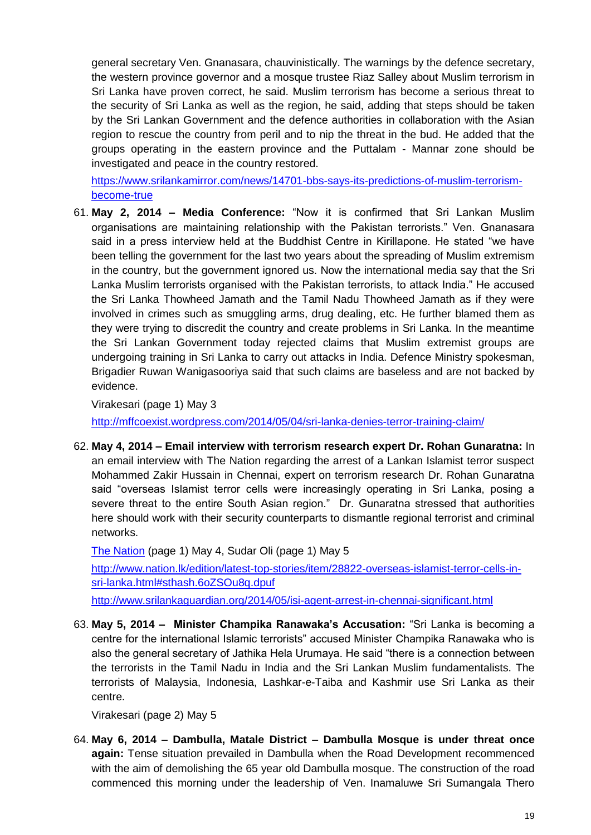general secretary Ven. Gnanasara, chauvinistically. The warnings by the defence secretary, the western province governor and a mosque trustee Riaz Salley about Muslim terrorism in Sri Lanka have proven correct, he said. Muslim terrorism has become a serious threat to the security of Sri Lanka as well as the region, he said, adding that steps should be taken by the Sri Lankan Government and the defence authorities in collaboration with the Asian region to rescue the country from peril and to nip the threat in the bud. He added that the groups operating in the eastern province and the Puttalam - Mannar zone should be investigated and peace in the country restored.

[https://www.srilankamirror.com/news/14701-bbs-says-its-predictions-of-muslim-terrorism](https://www.srilankamirror.com/news/14701-bbs-says-its-predictions-of-muslim-terrorism-become-true)[become-true](https://www.srilankamirror.com/news/14701-bbs-says-its-predictions-of-muslim-terrorism-become-true)

61. **May 2, 2014 – Media Conference:** "Now it is confirmed that Sri Lankan Muslim organisations are maintaining relationship with the Pakistan terrorists." Ven. Gnanasara said in a press interview held at the Buddhist Centre in Kirillapone. He stated "we have been telling the government for the last two years about the spreading of Muslim extremism in the country, but the government ignored us. Now the international media say that the Sri Lanka Muslim terrorists organised with the Pakistan terrorists, to attack India." He accused the Sri Lanka Thowheed Jamath and the Tamil Nadu Thowheed Jamath as if they were involved in crimes such as smuggling arms, drug dealing, etc. He further blamed them as they were trying to discredit the country and create problems in Sri Lanka. In the meantime the Sri Lankan Government today rejected claims that Muslim extremist groups are undergoing training in Sri Lanka to carry out attacks in India. Defence Ministry spokesman, Brigadier Ruwan Wanigasooriya said that such claims are baseless and are not backed by evidence.

Virakesari (page 1) May 3

<http://mffcoexist.wordpress.com/2014/05/04/sri-lanka-denies-terror-training-claim/>

62. **May 4, 2014 – Email interview with terrorism research expert Dr. Rohan Gunaratna:** In an email interview with The Nation regarding the arrest of a Lankan Islamist terror suspect Mohammed Zakir Hussain in Chennai, expert on terrorism research Dr. Rohan Gunaratna said "overseas Islamist terror cells were increasingly operating in Sri Lanka, posing a severe threat to the entire South Asian region." Dr. Gunaratna stressed that authorities here should work with their security counterparts to dismantle regional terrorist and criminal networks.

[The Nation](http://www.nation.lk/edition/latest-top-stories/itemlist/user/62-thenation.html) (page 1) May 4, Sudar Oli (page 1) May 5 [http://www.nation.lk/edition/latest-top-stories/item/28822-overseas-islamist-terror-cells-in](http://www.nation.lk/edition/latest-top-stories/item/28822-overseas-islamist-terror-cells-in-sri-lanka.html#sthash.6oZSOu8q.dpuf)[sri-lanka.html#sthash.6oZSOu8q.dpuf](http://www.nation.lk/edition/latest-top-stories/item/28822-overseas-islamist-terror-cells-in-sri-lanka.html#sthash.6oZSOu8q.dpuf) <http://www.srilankaguardian.org/2014/05/isi-agent-arrest-in-chennai-significant.html>

63. **May 5, 2014 – Minister Champika Ranawaka's Accusation:** "Sri Lanka is becoming a centre for the international Islamic terrorists" accused Minister Champika Ranawaka who is also the general secretary of Jathika Hela Urumaya. He said "there is a connection between the terrorists in the Tamil Nadu in India and the Sri Lankan Muslim fundamentalists. The terrorists of Malaysia, Indonesia, Lashkar-e-Taiba and Kashmir use Sri Lanka as their centre.

Virakesari (page 2) May 5

64. **May 6, 2014 – Dambulla, Matale District – Dambulla Mosque is under threat once again:** Tense situation prevailed in Dambulla when the Road Development recommenced with the aim of demolishing the 65 year old Dambulla mosque. The construction of the road commenced this morning under the leadership of Ven. Inamaluwe Sri Sumangala Thero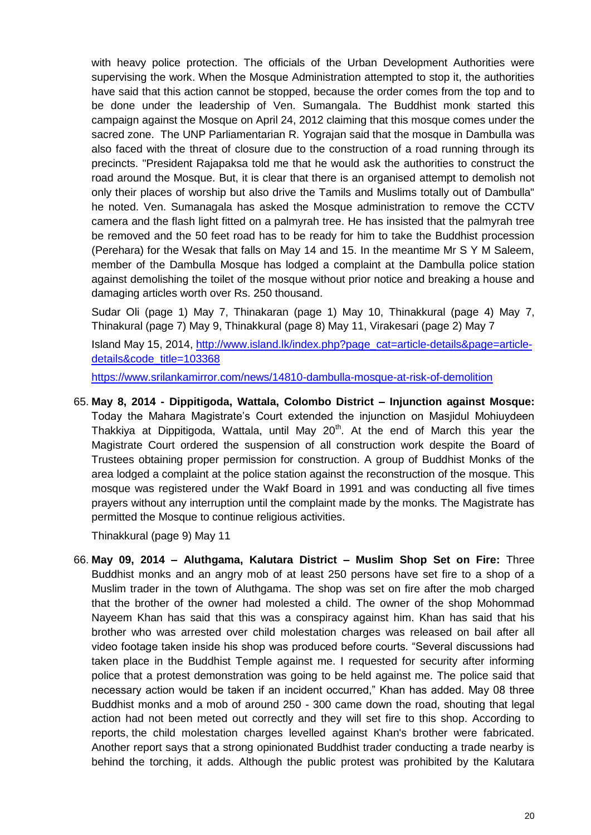with heavy police protection. The officials of the Urban Development Authorities were supervising the work. When the Mosque Administration attempted to stop it, the authorities have said that this action cannot be stopped, because the order comes from the top and to be done under the leadership of Ven. Sumangala. The Buddhist monk started this campaign against the Mosque on April 24, 2012 claiming that this mosque comes under the sacred zone. The UNP Parliamentarian R. Yograjan said that the mosque in Dambulla was also faced with the threat of closure due to the construction of a road running through its precincts. "President Rajapaksa told me that he would ask the authorities to construct the road around the Mosque. But, it is clear that there is an organised attempt to demolish not only their places of worship but also drive the Tamils and Muslims totally out of Dambulla" he noted. Ven. Sumanagala has asked the Mosque administration to remove the CCTV camera and the flash light fitted on a palmyrah tree. He has insisted that the palmyrah tree be removed and the 50 feet road has to be ready for him to take the Buddhist procession (Perehara) for the Wesak that falls on May 14 and 15. In the meantime Mr S Y M Saleem, member of the Dambulla Mosque has lodged a complaint at the Dambulla police station against demolishing the toilet of the mosque without prior notice and breaking a house and damaging articles worth over Rs. 250 thousand.

Sudar Oli (page 1) May 7, Thinakaran (page 1) May 10, Thinakkural (page 4) May 7, Thinakural (page 7) May 9, Thinakkural (page 8) May 11, Virakesari (page 2) May 7

Island May 15, 2014, [http://www.island.lk/index.php?page\\_cat=article-details&page=article](http://www.island.lk/index.php?page_cat=article-details&page=article-details&code_title=103368)[details&code\\_title=103368](http://www.island.lk/index.php?page_cat=article-details&page=article-details&code_title=103368)

<https://www.srilankamirror.com/news/14810-dambulla-mosque-at-risk-of-demolition>

65. **May 8, 2014 - Dippitigoda, Wattala, Colombo District – Injunction against Mosque:**  Today the Mahara Magistrate"s Court extended the injunction on Masjidul Mohiuydeen Thakkiya at Dippitigoda, Wattala, until May  $20<sup>th</sup>$ . At the end of March this year the Magistrate Court ordered the suspension of all construction work despite the Board of Trustees obtaining proper permission for construction. A group of Buddhist Monks of the area lodged a complaint at the police station against the reconstruction of the mosque. This mosque was registered under the Wakf Board in 1991 and was conducting all five times prayers without any interruption until the complaint made by the monks. The Magistrate has permitted the Mosque to continue religious activities.

Thinakkural (page 9) May 11

66. **May 09, 2014 – Aluthgama, Kalutara District – Muslim Shop Set on Fire:** Three Buddhist monks and an angry mob of at least 250 persons have set fire to a shop of a Muslim trader in the town of Aluthgama. The shop was set on fire after the mob charged that the brother of the owner had molested a child. The owner of the shop Mohommad Nayeem Khan has said that this was a conspiracy against him. Khan has said that his brother who was arrested over child molestation charges was released on bail after all video footage taken inside his shop was produced before courts. "Several discussions had taken place in the Buddhist Temple against me. I requested for security after informing police that a protest demonstration was going to be held against me. The police said that necessary action would be taken if an incident occurred," Khan has added. May 08 three Buddhist monks and a mob of around 250 - 300 came down the road, shouting that legal action had not been meted out correctly and they will set fire to this shop. According to reports, the child molestation charges levelled against Khan's brother were fabricated. Another report says that a strong opinionated Buddhist trader conducting a trade nearby is behind the torching, it adds. Although the public protest was prohibited by the Kalutara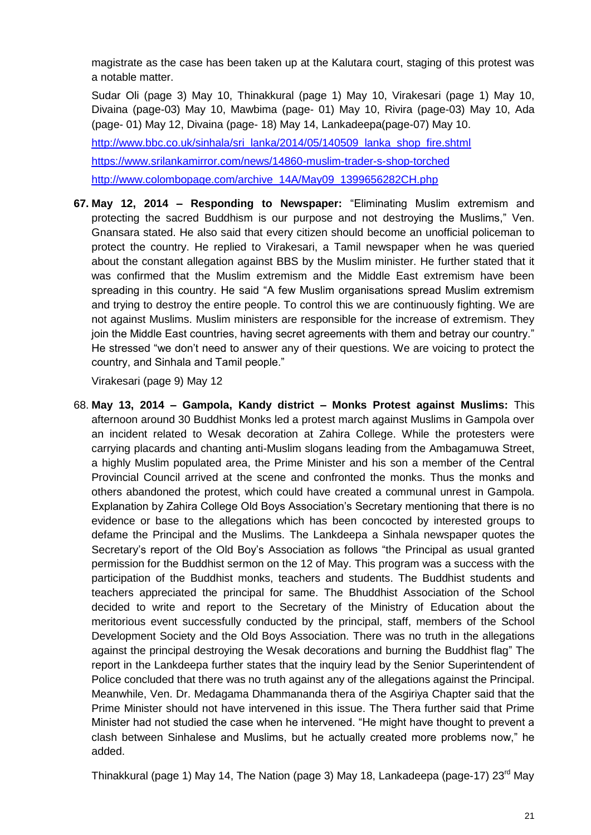magistrate as the case has been taken up at the Kalutara court, staging of this protest was a notable matter.

Sudar Oli (page 3) May 10, Thinakkural (page 1) May 10, Virakesari (page 1) May 10, Divaina (page-03) May 10, Mawbima (page- 01) May 10, Rivira (page-03) May 10, Ada (page- 01) May 12, Divaina (page- 18) May 14, Lankadeepa(page-07) May 10. [http://www.bbc.co.uk/sinhala/sri\\_lanka/2014/05/140509\\_lanka\\_shop\\_fire.shtml](http://www.bbc.co.uk/sinhala/sri_lanka/2014/05/140509_lanka_shop_fire.shtml)

<https://www.srilankamirror.com/news/14860-muslim-trader-s-shop-torched> [http://www.colombopage.com/archive\\_14A/May09\\_1399656282CH.php](http://www.colombopage.com/archive_14A/May09_1399656282CH.php)

**67. May 12, 2014 – Responding to Newspaper:** "Eliminating Muslim extremism and protecting the sacred Buddhism is our purpose and not destroying the Muslims," Ven. Gnansara stated. He also said that every citizen should become an unofficial policeman to protect the country. He replied to Virakesari, a Tamil newspaper when he was queried about the constant allegation against BBS by the Muslim minister. He further stated that it was confirmed that the Muslim extremism and the Middle East extremism have been spreading in this country. He said "A few Muslim organisations spread Muslim extremism and trying to destroy the entire people. To control this we are continuously fighting. We are not against Muslims. Muslim ministers are responsible for the increase of extremism. They join the Middle East countries, having secret agreements with them and betray our country." He stressed "we don"t need to answer any of their questions. We are voicing to protect the country, and Sinhala and Tamil people."

Virakesari (page 9) May 12

68. **May 13, 2014 – Gampola, Kandy district – Monks Protest against Muslims:** This afternoon around 30 Buddhist Monks led a protest march against Muslims in Gampola over an incident related to Wesak decoration at Zahira College. While the protesters were carrying placards and chanting anti-Muslim slogans leading from the Ambagamuwa Street, a highly Muslim populated area, the Prime Minister and his son a member of the Central Provincial Council arrived at the scene and confronted the monks. Thus the monks and others abandoned the protest, which could have created a communal unrest in Gampola. Explanation by Zahira College Old Boys Association"s Secretary mentioning that there is no evidence or base to the allegations which has been concocted by interested groups to defame the Principal and the Muslims. The Lankdeepa a Sinhala newspaper quotes the Secretary"s report of the Old Boy"s Association as follows "the Principal as usual granted permission for the Buddhist sermon on the 12 of May. This program was a success with the participation of the Buddhist monks, teachers and students. The Buddhist students and teachers appreciated the principal for same. The Bhuddhist Association of the School decided to write and report to the Secretary of the Ministry of Education about the meritorious event successfully conducted by the principal, staff, members of the School Development Society and the Old Boys Association. There was no truth in the allegations against the principal destroying the Wesak decorations and burning the Buddhist flag" The report in the Lankdeepa further states that the inquiry lead by the Senior Superintendent of Police concluded that there was no truth against any of the allegations against the Principal. Meanwhile, Ven. Dr. Medagama Dhammananda thera of the Asgiriya Chapter said that the Prime Minister should not have intervened in this issue. The Thera further said that Prime Minister had not studied the case when he intervened. "He might have thought to prevent a clash between Sinhalese and Muslims, but he actually created more problems now," he added.

Thinakkural (page 1) May 14, The Nation (page 3) May 18, Lankadeepa (page-17) 23<sup>rd</sup> May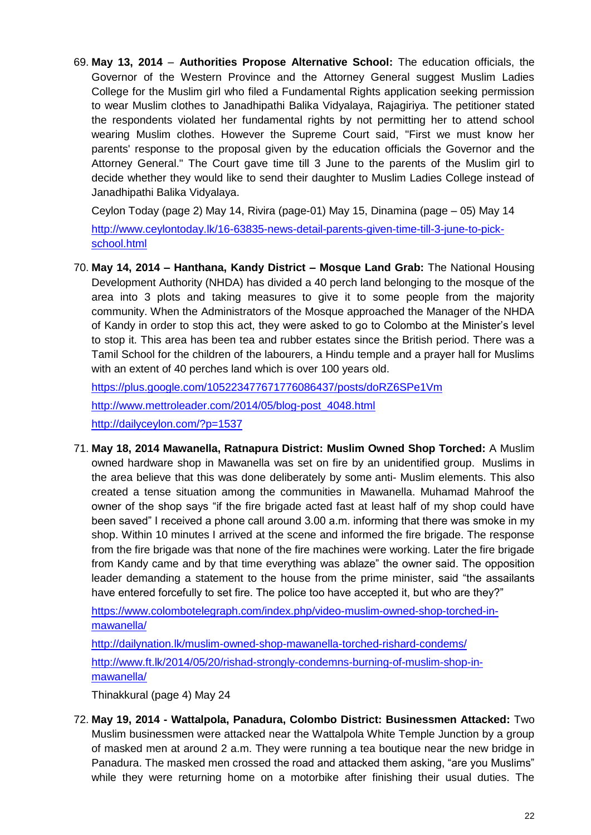69. **May 13, 2014** – **Authorities Propose Alternative School:** The education officials, the Governor of the Western Province and the Attorney General suggest Muslim Ladies College for the Muslim girl who filed a Fundamental Rights application seeking permission to wear Muslim clothes to Janadhipathi Balika Vidyalaya, Rajagiriya. The petitioner stated the respondents violated her fundamental rights by not permitting her to attend school wearing Muslim clothes. However the Supreme Court said, "First we must know her parents' response to the proposal given by the education officials the Governor and the Attorney General." The Court gave time till 3 June to the parents of the Muslim girl to decide whether they would like to send their daughter to Muslim Ladies College instead of Janadhipathi Balika Vidyalaya.

Ceylon Today (page 2) May 14, Rivira (page-01) May 15, Dinamina (page – 05) May 14 [http://www.ceylontoday.lk/16-63835-news-detail-parents-given-time-till-3-june-to-pick](http://www.ceylontoday.lk/16-63835-news-detail-parents-given-time-till-3-june-to-pick-school.html)[school.html](http://www.ceylontoday.lk/16-63835-news-detail-parents-given-time-till-3-june-to-pick-school.html)

70. **[May 14, 2014](https://plus.google.com/105223477671776086437/posts/doRZ6SPe1Vm) – Hanthana, Kandy District – Mosque Land Grab:** The National Housing Development Authority (NHDA) has divided a 40 perch land belonging to the mosque of the area into 3 plots and taking measures to give it to some people from the majority community. When the Administrators of the Mosque approached the Manager of the NHDA of Kandy in order to stop this act, they were asked to go to Colombo at the Minister"s level to stop it. This area has been tea and rubber estates since the British period. There was a Tamil School for the children of the labourers, a Hindu temple and a prayer hall for Muslims with an extent of 40 perches land which is over 100 years old.

<https://plus.google.com/105223477671776086437/posts/doRZ6SPe1Vm> [http://www.mettroleader.com/2014/05/blog-post\\_4048.html](http://www.mettroleader.com/2014/05/blog-post_4048.html) <http://dailyceylon.com/?p=1537>

71. **May 18, 2014 Mawanella, Ratnapura District: Muslim Owned Shop Torched:** A Muslim owned hardware shop in Mawanella was set on fire by an unidentified group. Muslims in the area believe that this was done deliberately by some anti- [Muslim elements.](http://www.ninjacloak.com/index.php/1010110A/d0381413f820e0002a00554d1059cadf37a0a0357282bf55898e6d71b2482d764025707598d0a1ebae9616666e8e90c7c7a40fb759d3920bb252a7ed4e0116337) This also created a tense situation among the communities in Mawanella. Muhamad Mahroof the owner of the shop says "if the fire brigade acted fast at least half of my shop could have been saved" I received a phone call around 3.00 a.m. informing that there was smoke in my shop. Within 10 minutes I arrived at the scene and informed the fire brigade. The response from the fire brigade was that none of the fire machines were working. Later the fire brigade from Kandy came and by that time everything was ablaze" the owner said. The opposition leader demanding a statement to the house from the prime minister, said "the assailants have entered forcefully to set fire. The police too have accepted it, but who are they?"

[https://www.colombotelegraph.com/index.php/video-muslim-owned-shop-torched-in](https://www.colombotelegraph.com/index.php/video-muslim-owned-shop-torched-in-mawanella/)[mawanella/](https://www.colombotelegraph.com/index.php/video-muslim-owned-shop-torched-in-mawanella/)

<http://dailynation.lk/muslim-owned-shop-mawanella-torched-rishard-condems/> [http://www.ft.lk/2014/05/20/rishad-strongly-condemns-burning-of-muslim-shop-in](http://www.ft.lk/2014/05/20/rishad-strongly-condemns-burning-of-muslim-shop-in-mawanella/)[mawanella/](http://www.ft.lk/2014/05/20/rishad-strongly-condemns-burning-of-muslim-shop-in-mawanella/)

Thinakkural (page 4) May 24

72. **May 19, 2014 - Wattalpola, Panadura, Colombo District: Businessmen Attacked:** Two Muslim businessmen were attacked near the Wattalpola White Temple Junction by a group of masked men at around 2 a.m. They were running a tea boutique near the new bridge in Panadura. The masked men crossed the road and attacked them asking, "are you Muslims" while they were returning home on a motorbike after finishing their usual duties. The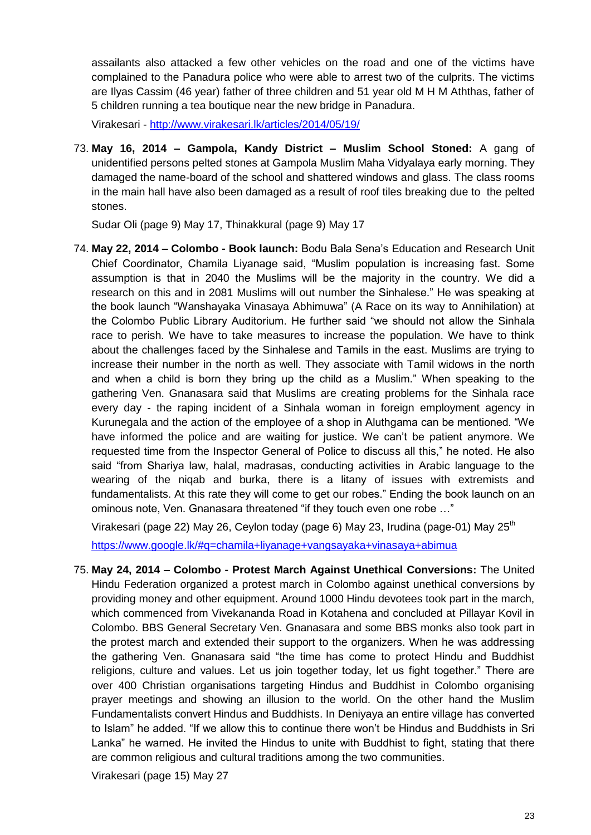assailants also attacked a few other vehicles on the road and one of the victims have complained to the Panadura police who were able to arrest two of the culprits. The victims are Ilyas Cassim (46 year) father of three children and 51 year old M H M Aththas, father of 5 children running a tea boutique near the new bridge in Panadura.

Virakesari - <http://www.virakesari.lk/articles/2014/05/19/>

73. **May 16, 2014 – Gampola, Kandy District – Muslim School Stoned:** A gang of unidentified persons pelted stones at Gampola Muslim Maha Vidyalaya early morning. They damaged the name-board of the school and shattered windows and glass. The class rooms in the main hall have also been damaged as a result of roof tiles breaking due to the pelted stones.

Sudar Oli (page 9) May 17, Thinakkural (page 9) May 17

74. **May 22, 2014 – Colombo - Book launch:** Bodu Bala Sena"s Education and Research Unit Chief Coordinator, Chamila Liyanage said, "Muslim population is increasing fast. Some assumption is that in 2040 the Muslims will be the majority in the country. We did a research on this and in 2081 Muslims will out number the Sinhalese." He was speaking at the book launch "Wanshayaka Vinasaya Abhimuwa" (A Race on its way to Annihilation) at the Colombo Public Library Auditorium. He further said "we should not allow the Sinhala race to perish. We have to take measures to increase the population. We have to think about the challenges faced by the Sinhalese and Tamils in the east. Muslims are trying to increase their number in the north as well. They associate with Tamil widows in the north and when a child is born they bring up the child as a Muslim." When speaking to the gathering Ven. Gnanasara said that Muslims are creating problems for the Sinhala race every day - the raping incident of a Sinhala woman in foreign employment agency in Kurunegala and the action of the employee of a shop in Aluthgama can be mentioned. "We have informed the police and are waiting for justice. We can"t be patient anymore. We requested time from the Inspector General of Police to discuss all this," he noted. He also said "from Shariya law, halal, madrasas, conducting activities in Arabic language to the wearing of the niqab and burka, there is a litany of issues with extremists and fundamentalists. At this rate they will come to get our robes." Ending the book launch on an ominous note, Ven. Gnanasara threatened "if they touch even one robe …"

Virakesari (page 22) May 26, Ceylon today (page 6) May 23, Irudina (page-01) May 25<sup>th</sup>

<https://www.google.lk/#q=chamila+liyanage+vangsayaka+vinasaya+abimua>

75. **May 24, 2014 – Colombo - Protest March Against Unethical Conversions:** The United Hindu Federation organized a protest march in Colombo against unethical conversions by providing money and other equipment. Around 1000 Hindu devotees took part in the march, which commenced from Vivekananda Road in Kotahena and concluded at Pillayar Kovil in Colombo. BBS General Secretary Ven. Gnanasara and some BBS monks also took part in the protest march and extended their support to the organizers. When he was addressing the gathering Ven. Gnanasara said "the time has come to protect Hindu and Buddhist religions, culture and values. Let us join together today, let us fight together." There are over 400 Christian organisations targeting Hindus and Buddhist in Colombo organising prayer meetings and showing an illusion to the world. On the other hand the Muslim Fundamentalists convert Hindus and Buddhists. In Deniyaya an entire village has converted to Islam" he added. "If we allow this to continue there won"t be Hindus and Buddhists in Sri Lanka" he warned. He invited the Hindus to unite with Buddhist to fight, stating that there are common religious and cultural traditions among the two communities.

Virakesari (page 15) May 27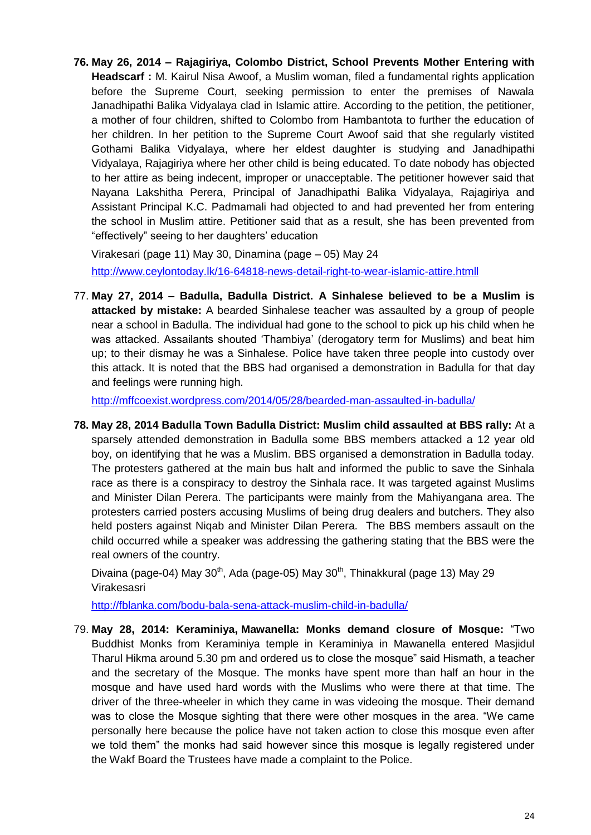**76. [May 26, 2014](http://mffcoexist.wordpress.com/2014/05/26/right-to-wear-islamic-attire/) – Rajagiriya, Colombo District, School Prevents Mother Entering with Headscarf :** M. Kairul Nisa Awoof, a Muslim woman, filed a fundamental rights application before the Supreme Court, seeking permission to enter the premises of Nawala Janadhipathi Balika Vidyalaya clad in Islamic attire. According to the petition, the petitioner, a mother of four children, shifted to Colombo from Hambantota to further the education of her children. In her petition to the Supreme Court Awoof said that she regularly vistited Gothami Balika Vidyalaya, where her eldest daughter is studying and Janadhipathi Vidyalaya, Rajagiriya where her other child is being educated. To date nobody has objected to her attire as being indecent, improper or unacceptable. The petitioner however said that Nayana Lakshitha Perera, Principal of Janadhipathi Balika Vidyalaya, Rajagiriya and Assistant Principal K.C. Padmamali had objected to and had prevented her from entering the school in Muslim attire. Petitioner said that as a result, she has been prevented from "effectively" seeing to her daughters" education

Virakesari (page 11) May 30, Dinamina (page – 05) May 24 <http://www.ceylontoday.lk/16-64818-news-detail-right-to-wear-islamic-attire.htmll>

77. **[May 27, 2014](http://mffcoexist.wordpress.com/2014/05/28/bearded-man-assaulted-in-badulla/) – Badulla, Badulla District. A Sinhalese believed to be a Muslim is attacked by mistake:** A bearded Sinhalese teacher was assaulted by a group of people near a school in Badulla. The individual had gone to the school to pick up his child when he was attacked. Assailants shouted "Thambiya" (derogatory term for Muslims) and beat him up; to their dismay he was a Sinhalese. Police have taken three people into custody over this attack. It is noted that the BBS had organised a demonstration in Badulla for that day and feelings were running high.

<http://mffcoexist.wordpress.com/2014/05/28/bearded-man-assaulted-in-badulla/>

**78. May 28, 2014 Badulla Town Badulla District: Muslim child assaulted at BBS rally:** At a sparsely attended demonstration in Badulla some BBS members attacked a 12 year old boy, on identifying that he was a Muslim. BBS organised a demonstration in Badulla today. The protesters gathered at the main bus halt and informed the public to save the Sinhala race as there is a conspiracy to destroy the Sinhala race. It was targeted against Muslims and Minister Dilan Perera. The participants were mainly from the Mahiyangana area. The protesters carried posters accusing Muslims of being drug dealers and butchers. They also held posters against Niqab and Minister Dilan Perera. The BBS members assault on the child occurred while a speaker was addressing the gathering stating that the BBS were the real owners of the country.

Divaina (page-04) May  $30<sup>th</sup>$ , Ada (page-05) May  $30<sup>th</sup>$ , Thinakkural (page 13) May 29 Virakesasri

<http://fblanka.com/bodu-bala-sena-attack-muslim-child-in-badulla/>

79. **[May 28, 2014:](http://mffcoexist.wordpress.com/2014/05/29/bbs-threaten-closure-of-masjidul-taqwa-keraminiya-mawanella/) Keraminiya, Mawanella: Monks demand closure of Mosque:** "Two Buddhist Monks from Keraminiya temple in Keraminiya in Mawanella entered Masjidul Tharul Hikma around 5.30 pm and ordered us to close the mosque" said Hismath, a teacher and the secretary of the Mosque. The monks have spent more than half an hour in the mosque and have used hard words with the Muslims who were there at that time. The driver of the three-wheeler in which they came in was videoing the mosque. Their demand was to close the Mosque sighting that there were other mosques in the area. "We came personally here because the police have not taken action to close this mosque even after we told them" the monks had said however since this mosque is legally registered under the Wakf Board the Trustees have made a complaint to the Police.